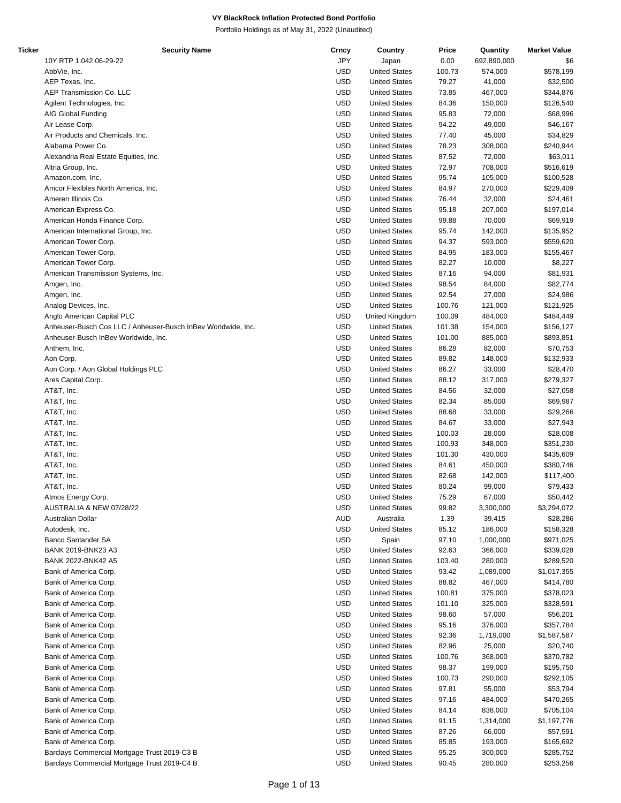| Ticker | <b>Security Name</b>                                          | Crncy      | Country              | Price  | Quantity    | <b>Market Value</b> |
|--------|---------------------------------------------------------------|------------|----------------------|--------|-------------|---------------------|
|        | 10Y RTP 1.042 06-29-22                                        | JPY        | Japan                | 0.00   | 692,890,000 | \$6                 |
|        | AbbVie, Inc.                                                  | <b>USD</b> | <b>United States</b> | 100.73 | 574,000     | \$578,199           |
|        | AEP Texas, Inc.                                               | <b>USD</b> | <b>United States</b> | 79.27  | 41,000      | \$32,500            |
|        | AEP Transmission Co. LLC                                      | <b>USD</b> | <b>United States</b> | 73.85  | 467,000     | \$344,876           |
|        | Agilent Technologies, Inc.                                    | <b>USD</b> | <b>United States</b> | 84.36  | 150,000     | \$126,540           |
|        | AIG Global Funding                                            | <b>USD</b> | <b>United States</b> | 95.83  | 72,000      | \$68,996            |
|        | Air Lease Corp.                                               | <b>USD</b> | <b>United States</b> | 94.22  | 49,000      | \$46,167            |
|        |                                                               |            |                      |        |             |                     |
|        | Air Products and Chemicals, Inc.                              | <b>USD</b> | <b>United States</b> | 77.40  | 45,000      | \$34,829            |
|        | Alabama Power Co.                                             | <b>USD</b> | <b>United States</b> | 78.23  | 308,000     | \$240,944           |
|        | Alexandria Real Estate Equities, Inc.                         | <b>USD</b> | <b>United States</b> | 87.52  | 72,000      | \$63,011            |
|        | Altria Group, Inc.                                            | <b>USD</b> | <b>United States</b> | 72.97  | 708,000     | \$516,619           |
|        | Amazon.com, Inc.                                              | <b>USD</b> | <b>United States</b> | 95.74  | 105,000     | \$100,528           |
|        | Amcor Flexibles North America, Inc.                           | <b>USD</b> | <b>United States</b> | 84.97  | 270,000     | \$229,409           |
|        | Ameren Illinois Co.                                           | <b>USD</b> | <b>United States</b> | 76.44  | 32,000      | \$24,461            |
|        | American Express Co.                                          | <b>USD</b> | <b>United States</b> | 95.18  | 207,000     | \$197,014           |
|        | American Honda Finance Corp.                                  | <b>USD</b> | <b>United States</b> | 99.88  | 70,000      | \$69,919            |
|        | American International Group, Inc.                            | <b>USD</b> | <b>United States</b> | 95.74  | 142,000     | \$135,952           |
|        |                                                               |            |                      |        |             |                     |
|        | American Tower Corp.                                          | <b>USD</b> | <b>United States</b> | 94.37  | 593,000     | \$559,620           |
|        | American Tower Corp.                                          | <b>USD</b> | <b>United States</b> | 84.95  | 183,000     | \$155,467           |
|        | American Tower Corp.                                          | <b>USD</b> | <b>United States</b> | 82.27  | 10,000      | \$8,227             |
|        | American Transmission Systems, Inc.                           | <b>USD</b> | <b>United States</b> | 87.16  | 94,000      | \$81,931            |
|        | Amgen, Inc.                                                   | <b>USD</b> | <b>United States</b> | 98.54  | 84,000      | \$82,774            |
|        | Amgen, Inc.                                                   | <b>USD</b> | <b>United States</b> | 92.54  | 27,000      | \$24,986            |
|        | Analog Devices, Inc.                                          | <b>USD</b> | <b>United States</b> | 100.76 | 121,000     | \$121,925           |
|        | Anglo American Capital PLC                                    | <b>USD</b> | United Kingdom       | 100.09 | 484,000     | \$484,449           |
|        | Anheuser-Busch Cos LLC / Anheuser-Busch InBev Worldwide, Inc. | <b>USD</b> | <b>United States</b> | 101.38 | 154,000     | \$156,127           |
|        | Anheuser-Busch InBev Worldwide, Inc.                          | <b>USD</b> | <b>United States</b> | 101.00 | 885,000     | \$893,851           |
|        |                                                               |            |                      |        |             |                     |
|        | Anthem, Inc.                                                  | <b>USD</b> | <b>United States</b> | 86.28  | 82,000      | \$70,753            |
|        | Aon Corp.                                                     | <b>USD</b> | <b>United States</b> | 89.82  | 148,000     | \$132,933           |
|        | Aon Corp. / Aon Global Holdings PLC                           | <b>USD</b> | <b>United States</b> | 86.27  | 33,000      | \$28,470            |
|        | Ares Capital Corp.                                            | <b>USD</b> | <b>United States</b> | 88.12  | 317,000     | \$279,327           |
|        | AT&T, Inc.                                                    | <b>USD</b> | <b>United States</b> | 84.56  | 32,000      | \$27,058            |
|        | AT&T, Inc.                                                    | <b>USD</b> | <b>United States</b> | 82.34  | 85,000      | \$69,987            |
|        | AT&T, Inc.                                                    | <b>USD</b> | <b>United States</b> | 88.68  | 33,000      | \$29,266            |
|        | AT&T, Inc.                                                    | <b>USD</b> | <b>United States</b> | 84.67  | 33,000      | \$27,943            |
|        | AT&T, Inc.                                                    | <b>USD</b> | <b>United States</b> | 100.03 | 28,000      | \$28,008            |
|        | AT&T, Inc.                                                    | <b>USD</b> | <b>United States</b> | 100.93 | 348,000     | \$351,230           |
|        |                                                               |            |                      |        |             |                     |
|        | AT&T, Inc.                                                    | <b>USD</b> | <b>United States</b> | 101.30 | 430,000     | \$435,609           |
|        | AT&T, Inc.                                                    | <b>USD</b> | <b>United States</b> | 84.61  | 450,000     | \$380,746           |
|        | AT&T, Inc.                                                    | <b>USD</b> | <b>United States</b> | 82.68  | 142,000     | \$117,400           |
|        | AT&T, Inc.                                                    | <b>USD</b> | <b>United States</b> | 80.24  | 99,000      | \$79,433            |
|        | Atmos Energy Corp.                                            | <b>USD</b> | <b>United States</b> | 75.29  | 67,000      | \$50,442            |
|        | AUSTRALIA & NEW 07/28/22                                      | USD        | <b>United States</b> | 99.82  | 3,300,000   | \$3,294,072         |
|        | Australian Dollar                                             | <b>AUD</b> | Australia            | 1.39   | 39,415      | \$28,286            |
|        | Autodesk, Inc.                                                | USD        | <b>United States</b> | 85.12  | 186,000     | \$158,328           |
|        | Banco Santander SA                                            | USD        | Spain                | 97.10  | 1,000,000   | \$971,025           |
|        | BANK 2019-BNK23 A3                                            | <b>USD</b> | <b>United States</b> | 92.63  | 366,000     | \$339,028           |
|        | BANK 2022-BNK42 A5                                            | <b>USD</b> | <b>United States</b> | 103.40 | 280,000     | \$289,520           |
|        |                                                               |            |                      |        |             |                     |
|        | Bank of America Corp.                                         | USD        | <b>United States</b> | 93.42  | 1,089,000   | \$1,017,355         |
|        | Bank of America Corp.                                         | <b>USD</b> | <b>United States</b> | 88.82  | 467,000     | \$414,780           |
|        | Bank of America Corp.                                         | <b>USD</b> | <b>United States</b> | 100.81 | 375,000     | \$378,023           |
|        | Bank of America Corp.                                         | <b>USD</b> | <b>United States</b> | 101.10 | 325,000     | \$328,591           |
|        | Bank of America Corp.                                         | USD        | <b>United States</b> | 98.60  | 57,000      | \$56,201            |
|        | Bank of America Corp.                                         | USD        | <b>United States</b> | 95.16  | 376,000     | \$357,784           |
|        | Bank of America Corp.                                         | <b>USD</b> | <b>United States</b> | 92.36  | 1,719,000   | \$1,587,587         |
|        | Bank of America Corp.                                         | <b>USD</b> | <b>United States</b> | 82.96  | 25,000      | \$20,740            |
|        | Bank of America Corp.                                         | USD        | <b>United States</b> | 100.76 | 368,000     | \$370,782           |
|        | Bank of America Corp.                                         | <b>USD</b> | <b>United States</b> | 98.37  | 199,000     | \$195,750           |
|        |                                                               |            |                      |        |             |                     |
|        | Bank of America Corp.                                         | <b>USD</b> | <b>United States</b> | 100.73 | 290,000     | \$292,105           |
|        | Bank of America Corp.                                         | <b>USD</b> | <b>United States</b> | 97.81  | 55,000      | \$53,794            |
|        | Bank of America Corp.                                         | USD        | <b>United States</b> | 97.16  | 484,000     | \$470,265           |
|        | Bank of America Corp.                                         | USD        | <b>United States</b> | 84.14  | 838,000     | \$705,104           |
|        | Bank of America Corp.                                         | <b>USD</b> | <b>United States</b> | 91.15  | 1,314,000   | \$1,197,776         |
|        | Bank of America Corp.                                         | <b>USD</b> | <b>United States</b> | 87.26  | 66,000      | \$57,591            |
|        | Bank of America Corp.                                         | USD        | <b>United States</b> | 85.85  | 193,000     | \$165,692           |
|        | Barclays Commercial Mortgage Trust 2019-C3 B                  | <b>USD</b> | <b>United States</b> | 95.25  | 300,000     | \$285,752           |
|        | Barclays Commercial Mortgage Trust 2019-C4 B                  | <b>USD</b> | <b>United States</b> | 90.45  | 280,000     | \$253,256           |
|        |                                                               |            |                      |        |             |                     |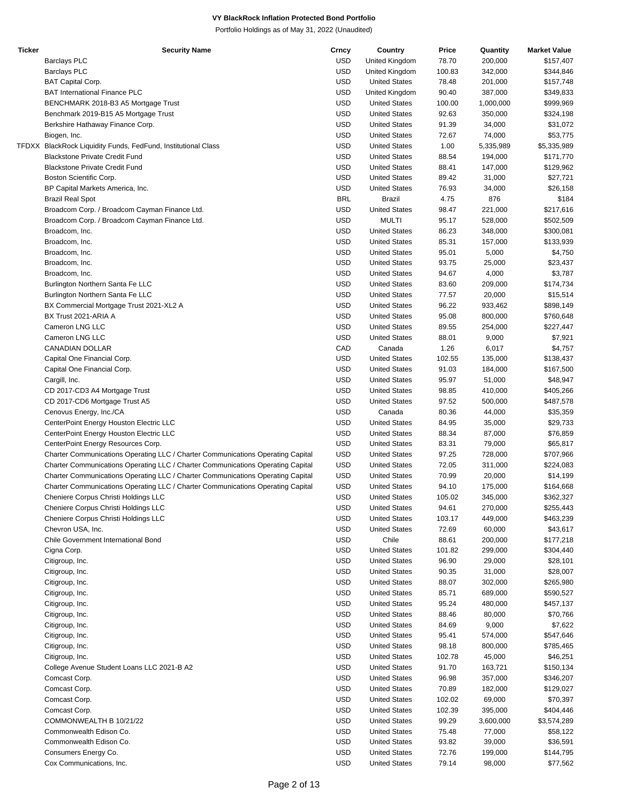| <b>Ticker</b> | <b>Security Name</b>                                                            | Crncy      | Country              | Price  | Quantity  | <b>Market Value</b> |
|---------------|---------------------------------------------------------------------------------|------------|----------------------|--------|-----------|---------------------|
|               | <b>Barclays PLC</b>                                                             | <b>USD</b> | United Kingdom       | 78.70  | 200,000   | \$157,407           |
|               | <b>Barclays PLC</b>                                                             | <b>USD</b> | United Kingdom       | 100.83 | 342,000   | \$344,846           |
|               | <b>BAT Capital Corp.</b>                                                        | <b>USD</b> | <b>United States</b> | 78.48  | 201,000   | \$157,748           |
|               | <b>BAT International Finance PLC</b>                                            | <b>USD</b> | United Kingdom       | 90.40  | 387,000   | \$349,833           |
|               | BENCHMARK 2018-B3 A5 Mortgage Trust                                             | <b>USD</b> | <b>United States</b> | 100.00 | 1,000,000 | \$999,969           |
|               | Benchmark 2019-B15 A5 Mortgage Trust                                            | <b>USD</b> | <b>United States</b> | 92.63  | 350,000   | \$324,198           |
|               | Berkshire Hathaway Finance Corp.                                                | <b>USD</b> | <b>United States</b> | 91.39  | 34,000    | \$31,072            |
|               | Biogen, Inc.                                                                    | <b>USD</b> | <b>United States</b> | 72.67  | 74,000    | \$53,775            |
|               | TFDXX BlackRock Liquidity Funds, FedFund, Institutional Class                   | <b>USD</b> | <b>United States</b> | 1.00   | 5,335,989 | \$5,335,989         |
|               | <b>Blackstone Private Credit Fund</b>                                           | <b>USD</b> | <b>United States</b> | 88.54  | 194,000   | \$171,770           |
|               | <b>Blackstone Private Credit Fund</b>                                           | <b>USD</b> | <b>United States</b> | 88.41  | 147,000   | \$129,962           |
|               | Boston Scientific Corp.                                                         | <b>USD</b> | <b>United States</b> | 89.42  | 31,000    | \$27,721            |
|               |                                                                                 | <b>USD</b> | <b>United States</b> | 76.93  |           |                     |
|               | BP Capital Markets America, Inc.                                                |            |                      |        | 34,000    | \$26,158            |
|               | <b>Brazil Real Spot</b>                                                         | <b>BRL</b> | <b>Brazil</b>        | 4.75   | 876       | \$184               |
|               | Broadcom Corp. / Broadcom Cayman Finance Ltd.                                   | <b>USD</b> | <b>United States</b> | 98.47  | 221,000   | \$217,616           |
|               | Broadcom Corp. / Broadcom Cayman Finance Ltd.                                   | <b>USD</b> | <b>MULTI</b>         | 95.17  | 528,000   | \$502,509           |
|               | Broadcom, Inc.                                                                  | <b>USD</b> | <b>United States</b> | 86.23  | 348,000   | \$300,081           |
|               | Broadcom, Inc.                                                                  | <b>USD</b> | <b>United States</b> | 85.31  | 157,000   | \$133,939           |
|               | Broadcom, Inc.                                                                  | <b>USD</b> | <b>United States</b> | 95.01  | 5,000     | \$4,750             |
|               | Broadcom, Inc.                                                                  | <b>USD</b> | <b>United States</b> | 93.75  | 25,000    | \$23,437            |
|               | Broadcom, Inc.                                                                  | <b>USD</b> | <b>United States</b> | 94.67  | 4,000     | \$3,787             |
|               | Burlington Northern Santa Fe LLC                                                | <b>USD</b> | <b>United States</b> | 83.60  | 209,000   | \$174,734           |
|               | Burlington Northern Santa Fe LLC                                                | <b>USD</b> | <b>United States</b> | 77.57  | 20,000    | \$15,514            |
|               | BX Commercial Mortgage Trust 2021-XL2 A                                         | <b>USD</b> | <b>United States</b> | 96.22  | 933,462   | \$898,149           |
|               | BX Trust 2021-ARIA A                                                            | <b>USD</b> | <b>United States</b> | 95.08  | 800,000   | \$760,648           |
|               | Cameron LNG LLC                                                                 | <b>USD</b> | <b>United States</b> | 89.55  | 254,000   | \$227,447           |
|               | Cameron LNG LLC                                                                 | <b>USD</b> | <b>United States</b> | 88.01  | 9,000     | \$7,921             |
|               | CANADIAN DOLLAR                                                                 | CAD        | Canada               | 1.26   | 6,017     | \$4,757             |
|               | Capital One Financial Corp.                                                     | <b>USD</b> | <b>United States</b> | 102.55 | 135,000   | \$138,437           |
|               | Capital One Financial Corp.                                                     | <b>USD</b> | <b>United States</b> | 91.03  | 184,000   | \$167,500           |
|               | Cargill, Inc.                                                                   | <b>USD</b> | <b>United States</b> | 95.97  | 51,000    | \$48,947            |
|               | CD 2017-CD3 A4 Mortgage Trust                                                   | <b>USD</b> | <b>United States</b> | 98.85  | 410,000   | \$405,266           |
|               | CD 2017-CD6 Mortgage Trust A5                                                   | <b>USD</b> | <b>United States</b> | 97.52  | 500,000   | \$487,578           |
|               | Cenovus Energy, Inc./CA                                                         | <b>USD</b> | Canada               | 80.36  | 44,000    | \$35,359            |
|               |                                                                                 | <b>USD</b> | <b>United States</b> |        |           | \$29,733            |
|               | CenterPoint Energy Houston Electric LLC                                         |            |                      | 84.95  | 35,000    |                     |
|               | CenterPoint Energy Houston Electric LLC                                         | <b>USD</b> | <b>United States</b> | 88.34  | 87,000    | \$76,859            |
|               | CenterPoint Energy Resources Corp.                                              | <b>USD</b> | <b>United States</b> | 83.31  | 79,000    | \$65,817            |
|               | Charter Communications Operating LLC / Charter Communications Operating Capital | <b>USD</b> | <b>United States</b> | 97.25  | 728,000   | \$707,966           |
|               | Charter Communications Operating LLC / Charter Communications Operating Capital | <b>USD</b> | <b>United States</b> | 72.05  | 311,000   | \$224,083           |
|               | Charter Communications Operating LLC / Charter Communications Operating Capital | <b>USD</b> | <b>United States</b> | 70.99  | 20,000    | \$14,199            |
|               | Charter Communications Operating LLC / Charter Communications Operating Capital | <b>USD</b> | <b>United States</b> | 94.10  | 175,000   | \$164,668           |
|               | Cheniere Corpus Christi Holdings LLC                                            | <b>USD</b> | <b>United States</b> | 105.02 | 345.000   | \$362,327           |
|               | Cheniere Corpus Christi Holdings LLC                                            | <b>USD</b> | <b>United States</b> | 94.61  | 270,000   | \$255,443           |
|               | Cheniere Corpus Christi Holdings LLC                                            | <b>USD</b> | <b>United States</b> | 103.17 | 449,000   | \$463,239           |
|               | Chevron USA, Inc.                                                               | <b>USD</b> | <b>United States</b> | 72.69  | 60,000    | \$43,617            |
|               | Chile Government International Bond                                             | <b>USD</b> | Chile                | 88.61  | 200,000   | \$177,218           |
|               | Cigna Corp.                                                                     | <b>USD</b> | <b>United States</b> | 101.82 | 299,000   | \$304,440           |
|               | Citigroup, Inc.                                                                 | <b>USD</b> | <b>United States</b> | 96.90  | 29,000    | \$28,101            |
|               | Citigroup, Inc.                                                                 | <b>USD</b> | <b>United States</b> | 90.35  | 31,000    | \$28,007            |
|               | Citigroup, Inc.                                                                 | <b>USD</b> | <b>United States</b> | 88.07  | 302,000   | \$265,980           |
|               | Citigroup, Inc.                                                                 | <b>USD</b> | <b>United States</b> | 85.71  | 689,000   | \$590,527           |
|               | Citigroup, Inc.                                                                 | <b>USD</b> | <b>United States</b> | 95.24  | 480,000   | \$457,137           |
|               | Citigroup, Inc.                                                                 | <b>USD</b> | <b>United States</b> | 88.46  | 80,000    | \$70,766            |
|               | Citigroup, Inc.                                                                 | <b>USD</b> | <b>United States</b> | 84.69  | 9,000     | \$7,622             |
|               | Citigroup, Inc.                                                                 | <b>USD</b> | <b>United States</b> | 95.41  | 574,000   | \$547,646           |
|               | Citigroup, Inc.                                                                 | <b>USD</b> | <b>United States</b> | 98.18  | 800,000   | \$785,465           |
|               | Citigroup, Inc.                                                                 | <b>USD</b> | <b>United States</b> | 102.78 |           |                     |
|               |                                                                                 |            |                      |        | 45,000    | \$46,251            |
|               | College Avenue Student Loans LLC 2021-B A2                                      | <b>USD</b> | <b>United States</b> | 91.70  | 163,721   | \$150,134           |
|               | Comcast Corp.                                                                   | <b>USD</b> | <b>United States</b> | 96.98  | 357,000   | \$346,207           |
|               | Comcast Corp.                                                                   | <b>USD</b> | <b>United States</b> | 70.89  | 182,000   | \$129,027           |
|               | Comcast Corp.                                                                   | <b>USD</b> | <b>United States</b> | 102.02 | 69,000    | \$70,397            |
|               | Comcast Corp.                                                                   | <b>USD</b> | <b>United States</b> | 102.39 | 395,000   | \$404,446           |
|               | COMMONWEALTH B 10/21/22                                                         | <b>USD</b> | <b>United States</b> | 99.29  | 3,600,000 | \$3,574,289         |
|               | Commonwealth Edison Co.                                                         | <b>USD</b> | <b>United States</b> | 75.48  | 77,000    | \$58,122            |
|               | Commonwealth Edison Co.                                                         | <b>USD</b> | <b>United States</b> | 93.82  | 39,000    | \$36,591            |
|               | Consumers Energy Co.                                                            | <b>USD</b> | <b>United States</b> | 72.76  | 199,000   | \$144,795           |
|               | Cox Communications, Inc.                                                        | <b>USD</b> | <b>United States</b> | 79.14  | 98,000    | \$77,562            |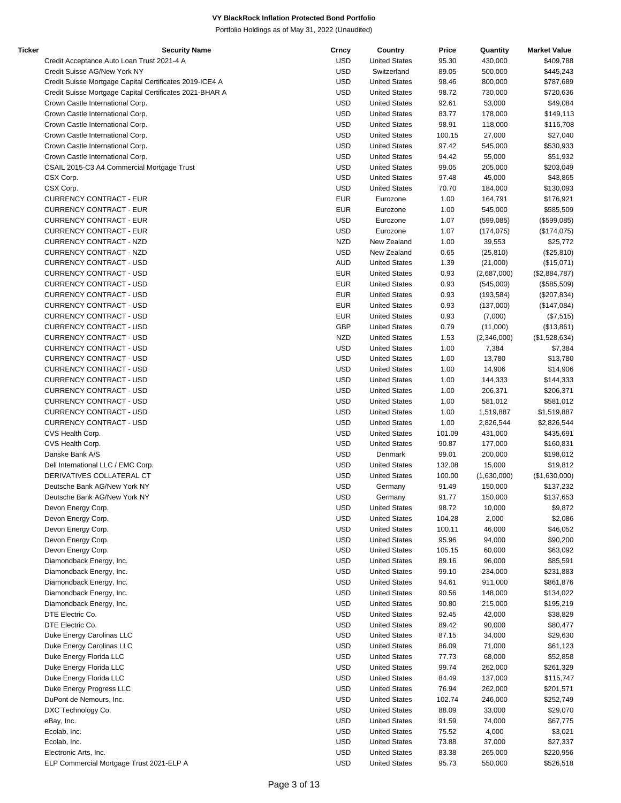| Ticker | <b>Security Name</b>                                    | Crncy      | Country              | Price  | Quantity    | <b>Market Value</b> |
|--------|---------------------------------------------------------|------------|----------------------|--------|-------------|---------------------|
|        | Credit Acceptance Auto Loan Trust 2021-4 A              | <b>USD</b> | <b>United States</b> | 95.30  | 430,000     | \$409,788           |
|        | Credit Suisse AG/New York NY                            | <b>USD</b> | Switzerland          | 89.05  | 500,000     | \$445,243           |
|        | Credit Suisse Mortgage Capital Certificates 2019-ICE4 A | <b>USD</b> | <b>United States</b> | 98.46  | 800,000     | \$787,689           |
|        | Credit Suisse Mortgage Capital Certificates 2021-BHAR A | <b>USD</b> | <b>United States</b> | 98.72  | 730,000     | \$720,636           |
|        | Crown Castle International Corp.                        | <b>USD</b> | <b>United States</b> | 92.61  | 53,000      | \$49,084            |
|        | Crown Castle International Corp.                        | <b>USD</b> | <b>United States</b> | 83.77  | 178,000     | \$149,113           |
|        | Crown Castle International Corp.                        | <b>USD</b> | <b>United States</b> | 98.91  | 118,000     | \$116,708           |
|        | Crown Castle International Corp.                        | <b>USD</b> | <b>United States</b> | 100.15 | 27,000      | \$27,040            |
|        | Crown Castle International Corp.                        | <b>USD</b> | <b>United States</b> | 97.42  | 545,000     | \$530,933           |
|        | Crown Castle International Corp.                        | <b>USD</b> | <b>United States</b> | 94.42  | 55,000      | \$51,932            |
|        | CSAIL 2015-C3 A4 Commercial Mortgage Trust              | <b>USD</b> | <b>United States</b> | 99.05  | 205,000     | \$203,049           |
|        | CSX Corp.                                               | <b>USD</b> | <b>United States</b> | 97.48  | 45,000      | \$43,865            |
|        | CSX Corp.                                               | <b>USD</b> | <b>United States</b> | 70.70  |             |                     |
|        |                                                         |            |                      |        | 184,000     | \$130,093           |
|        | <b>CURRENCY CONTRACT - EUR</b>                          | <b>EUR</b> | Eurozone             | 1.00   | 164,791     | \$176,921           |
|        | <b>CURRENCY CONTRACT - EUR</b>                          | <b>EUR</b> | Eurozone             | 1.00   | 545,000     | \$585,509           |
|        | <b>CURRENCY CONTRACT - EUR</b>                          | <b>USD</b> | Eurozone             | 1.07   | (599, 085)  | (\$599,085)         |
|        | <b>CURRENCY CONTRACT - EUR</b>                          | <b>USD</b> | Eurozone             | 1.07   | (174, 075)  | (\$174,075)         |
|        | CURRENCY CONTRACT - NZD                                 | <b>NZD</b> | New Zealand          | 1.00   | 39,553      | \$25,772            |
|        | CURRENCY CONTRACT - NZD                                 | <b>USD</b> | New Zealand          | 0.65   | (25, 810)   | (\$25,810)          |
|        | <b>CURRENCY CONTRACT - USD</b>                          | <b>AUD</b> | <b>United States</b> | 1.39   | (21,000)    | (\$15,071)          |
|        | <b>CURRENCY CONTRACT - USD</b>                          | <b>EUR</b> | <b>United States</b> | 0.93   | (2,687,000) | (\$2,884,787)       |
|        | <b>CURRENCY CONTRACT - USD</b>                          | <b>EUR</b> | <b>United States</b> | 0.93   | (545,000)   | (\$585,509)         |
|        | <b>CURRENCY CONTRACT - USD</b>                          | <b>EUR</b> | <b>United States</b> | 0.93   | (193, 584)  | (\$207,834)         |
|        | <b>CURRENCY CONTRACT - USD</b>                          | <b>EUR</b> | <b>United States</b> | 0.93   | (137,000)   | (\$147,084)         |
|        | <b>CURRENCY CONTRACT - USD</b>                          | <b>EUR</b> | <b>United States</b> | 0.93   | (7,000)     | (\$7,515)           |
|        | <b>CURRENCY CONTRACT - USD</b>                          | GBP        | <b>United States</b> | 0.79   | (11,000)    | (\$13,861)          |
|        | <b>CURRENCY CONTRACT - USD</b>                          | <b>NZD</b> | <b>United States</b> | 1.53   | (2,346,000) | (\$1,528,634)       |
|        | <b>CURRENCY CONTRACT - USD</b>                          | <b>USD</b> | <b>United States</b> | 1.00   | 7,384       | \$7,384             |
|        | <b>CURRENCY CONTRACT - USD</b>                          | <b>USD</b> | <b>United States</b> | 1.00   | 13,780      | \$13,780            |
|        | <b>CURRENCY CONTRACT - USD</b>                          | <b>USD</b> | <b>United States</b> | 1.00   | 14,906      | \$14,906            |
|        | <b>CURRENCY CONTRACT - USD</b>                          | <b>USD</b> | <b>United States</b> | 1.00   | 144,333     | \$144,333           |
|        | <b>CURRENCY CONTRACT - USD</b>                          | <b>USD</b> | <b>United States</b> | 1.00   | 206,371     | \$206,371           |
|        | CURRENCY CONTRACT - USD                                 | <b>USD</b> | <b>United States</b> | 1.00   | 581,012     | \$581,012           |
|        | <b>CURRENCY CONTRACT - USD</b>                          | <b>USD</b> | <b>United States</b> | 1.00   | 1,519,887   | \$1,519,887         |
|        | <b>CURRENCY CONTRACT - USD</b>                          | <b>USD</b> | <b>United States</b> | 1.00   | 2,826,544   | \$2,826,544         |
|        | CVS Health Corp.                                        | <b>USD</b> | <b>United States</b> | 101.09 | 431,000     | \$435,691           |
|        |                                                         | <b>USD</b> | <b>United States</b> |        |             |                     |
|        | CVS Health Corp.                                        |            |                      | 90.87  | 177,000     | \$160,831           |
|        | Danske Bank A/S                                         | <b>USD</b> | Denmark              | 99.01  | 200,000     | \$198,012           |
|        | Dell International LLC / EMC Corp.                      | <b>USD</b> | <b>United States</b> | 132.08 | 15,000      | \$19,812            |
|        | DERIVATIVES COLLATERAL CT                               | <b>USD</b> | <b>United States</b> | 100.00 | (1,630,000) | (\$1,630,000)       |
|        | Deutsche Bank AG/New York NY                            | <b>USD</b> | Germany              | 91.49  | 150,000     | \$137,232           |
|        | Deutsche Bank AG/New York NY                            | <b>USD</b> | Germany              | 91.77  | 150,000     | \$137,653           |
|        | Devon Energy Corp.                                      | <b>USD</b> | <b>United States</b> | 98.72  | 10,000      | \$9,872             |
|        | Devon Energy Corp.                                      | <b>USD</b> | <b>United States</b> | 104.28 | 2,000       | \$2,086             |
|        | Devon Energy Corp.                                      | <b>USD</b> | <b>United States</b> | 100.11 | 46,000      | \$46,052            |
|        | Devon Energy Corp.                                      | <b>USD</b> | <b>United States</b> | 95.96  | 94,000      | \$90,200            |
|        | Devon Energy Corp.                                      | <b>USD</b> | <b>United States</b> | 105.15 | 60,000      | \$63,092            |
|        | Diamondback Energy, Inc.                                | <b>USD</b> | <b>United States</b> | 89.16  | 96,000      | \$85,591            |
|        | Diamondback Energy, Inc.                                | <b>USD</b> | <b>United States</b> | 99.10  | 234,000     | \$231,883           |
|        | Diamondback Energy, Inc.                                | <b>USD</b> | <b>United States</b> | 94.61  | 911,000     | \$861,876           |
|        | Diamondback Energy, Inc.                                | <b>USD</b> | <b>United States</b> | 90.56  | 148,000     | \$134,022           |
|        | Diamondback Energy, Inc.                                | <b>USD</b> | <b>United States</b> | 90.80  | 215,000     | \$195,219           |
|        | DTE Electric Co.                                        | <b>USD</b> | <b>United States</b> | 92.45  | 42,000      | \$38,829            |
|        | DTE Electric Co.                                        | <b>USD</b> | <b>United States</b> | 89.42  | 90,000      | \$80,477            |
|        | Duke Energy Carolinas LLC                               | <b>USD</b> | <b>United States</b> | 87.15  | 34,000      | \$29,630            |
|        | Duke Energy Carolinas LLC                               | <b>USD</b> | <b>United States</b> | 86.09  | 71,000      | \$61,123            |
|        | Duke Energy Florida LLC                                 | <b>USD</b> | <b>United States</b> | 77.73  | 68,000      | \$52,858            |
|        | Duke Energy Florida LLC                                 | <b>USD</b> | <b>United States</b> | 99.74  | 262,000     | \$261,329           |
|        | Duke Energy Florida LLC                                 | <b>USD</b> | <b>United States</b> | 84.49  | 137,000     | \$115,747           |
|        |                                                         | <b>USD</b> | <b>United States</b> | 76.94  |             |                     |
|        | Duke Energy Progress LLC                                |            |                      |        | 262,000     | \$201,571           |
|        | DuPont de Nemours, Inc.                                 | <b>USD</b> | <b>United States</b> | 102.74 | 246,000     | \$252,749           |
|        | DXC Technology Co.                                      | <b>USD</b> | <b>United States</b> | 88.09  | 33,000      | \$29,070            |
|        | eBay, Inc.                                              | <b>USD</b> | <b>United States</b> | 91.59  | 74,000      | \$67,775            |
|        | Ecolab, Inc.                                            | <b>USD</b> | <b>United States</b> | 75.52  | 4,000       | \$3,021             |
|        | Ecolab, Inc.                                            | <b>USD</b> | <b>United States</b> | 73.88  | 37,000      | \$27,337            |
|        | Electronic Arts, Inc.                                   | <b>USD</b> | <b>United States</b> | 83.38  | 265,000     | \$220,956           |
|        | ELP Commercial Mortgage Trust 2021-ELP A                | <b>USD</b> | <b>United States</b> | 95.73  | 550,000     | \$526,518           |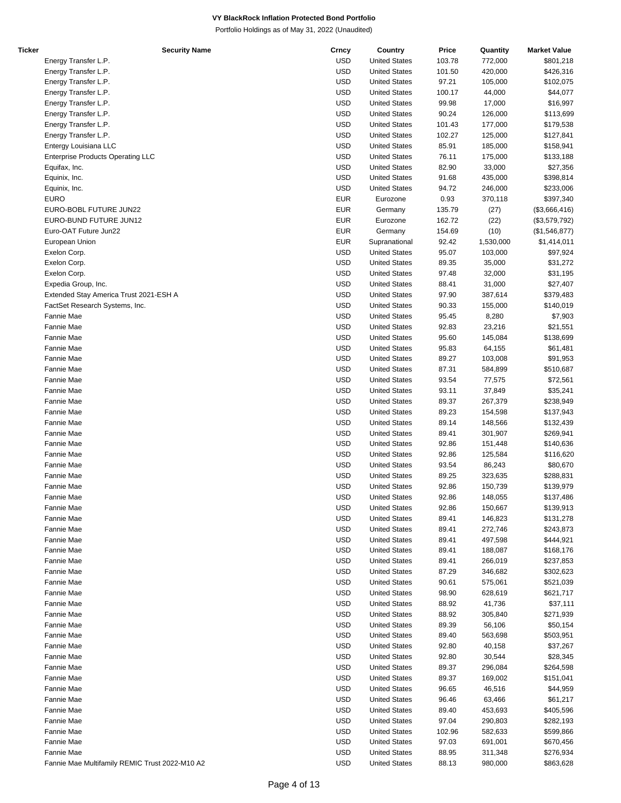| Ticker | <b>Security Name</b>                           | Crncy      | Country              | Price  | Quantity  | <b>Market Value</b> |
|--------|------------------------------------------------|------------|----------------------|--------|-----------|---------------------|
|        | Energy Transfer L.P.                           | <b>USD</b> | <b>United States</b> | 103.78 | 772,000   | \$801,218           |
|        | Energy Transfer L.P.                           | <b>USD</b> | <b>United States</b> | 101.50 | 420,000   | \$426,316           |
|        | Energy Transfer L.P.                           | <b>USD</b> | <b>United States</b> | 97.21  | 105,000   | \$102,075           |
|        | Energy Transfer L.P.                           | <b>USD</b> | <b>United States</b> | 100.17 | 44,000    | \$44,077            |
|        | Energy Transfer L.P.                           | <b>USD</b> | <b>United States</b> | 99.98  | 17,000    | \$16,997            |
|        | Energy Transfer L.P.                           | <b>USD</b> | <b>United States</b> | 90.24  | 126,000   | \$113,699           |
|        | Energy Transfer L.P.                           | <b>USD</b> | <b>United States</b> | 101.43 | 177,000   | \$179,538           |
|        | Energy Transfer L.P.                           | <b>USD</b> | <b>United States</b> | 102.27 | 125,000   | \$127,841           |
|        | Entergy Louisiana LLC                          | <b>USD</b> | <b>United States</b> | 85.91  | 185,000   | \$158,941           |
|        | <b>Enterprise Products Operating LLC</b>       | <b>USD</b> | <b>United States</b> | 76.11  | 175,000   | \$133,188           |
|        | Equifax, Inc.                                  | <b>USD</b> | <b>United States</b> | 82.90  | 33,000    | \$27,356            |
|        | Equinix, Inc.                                  | <b>USD</b> | <b>United States</b> | 91.68  | 435,000   | \$398,814           |
|        | Equinix, Inc.                                  | <b>USD</b> | <b>United States</b> | 94.72  | 246,000   | \$233,006           |
|        | <b>EURO</b>                                    | <b>EUR</b> | Eurozone             | 0.93   | 370,118   |                     |
|        |                                                | <b>EUR</b> |                      | 135.79 | (27)      | \$397,340           |
|        | EURO-BOBL FUTURE JUN22                         |            | Germany              |        |           | (\$3,666,416)       |
|        | EURO-BUND FUTURE JUN12                         | <b>EUR</b> | Eurozone             | 162.72 | (22)      | (\$3,579,792)       |
|        | Euro-OAT Future Jun22                          | <b>EUR</b> | Germany              | 154.69 | (10)      | (\$1,546,877)       |
|        | European Union                                 | <b>EUR</b> | Supranational        | 92.42  | 1,530,000 | \$1,414,011         |
|        | Exelon Corp.                                   | <b>USD</b> | <b>United States</b> | 95.07  | 103,000   | \$97,924            |
|        | Exelon Corp.                                   | <b>USD</b> | <b>United States</b> | 89.35  | 35,000    | \$31,272            |
|        | Exelon Corp.                                   | <b>USD</b> | <b>United States</b> | 97.48  | 32,000    | \$31,195            |
|        | Expedia Group, Inc.                            | <b>USD</b> | <b>United States</b> | 88.41  | 31,000    | \$27,407            |
|        | Extended Stay America Trust 2021-ESH A         | <b>USD</b> | <b>United States</b> | 97.90  | 387,614   | \$379,483           |
|        | FactSet Research Systems, Inc.                 | <b>USD</b> | <b>United States</b> | 90.33  | 155,000   | \$140,019           |
|        | Fannie Mae                                     | <b>USD</b> | <b>United States</b> | 95.45  | 8,280     | \$7,903             |
|        | Fannie Mae                                     | <b>USD</b> | <b>United States</b> | 92.83  | 23,216    | \$21,551            |
|        | Fannie Mae                                     | <b>USD</b> | <b>United States</b> | 95.60  | 145,084   | \$138,699           |
|        | Fannie Mae                                     | <b>USD</b> | <b>United States</b> | 95.83  | 64,155    | \$61,481            |
|        | Fannie Mae                                     | <b>USD</b> | <b>United States</b> | 89.27  | 103,008   | \$91,953            |
|        | Fannie Mae                                     | <b>USD</b> | <b>United States</b> | 87.31  | 584,899   | \$510,687           |
|        | Fannie Mae                                     | <b>USD</b> | <b>United States</b> | 93.54  | 77,575    | \$72,561            |
|        | Fannie Mae                                     | <b>USD</b> | <b>United States</b> | 93.11  | 37,849    | \$35,241            |
|        | Fannie Mae                                     | <b>USD</b> | <b>United States</b> | 89.37  | 267,379   | \$238,949           |
|        | Fannie Mae                                     | <b>USD</b> | <b>United States</b> | 89.23  | 154,598   | \$137,943           |
|        | Fannie Mae                                     | <b>USD</b> | <b>United States</b> | 89.14  | 148,566   | \$132,439           |
|        | Fannie Mae                                     | <b>USD</b> | <b>United States</b> | 89.41  | 301,907   | \$269,941           |
|        | Fannie Mae                                     | <b>USD</b> | <b>United States</b> | 92.86  | 151,448   | \$140,636           |
|        | Fannie Mae                                     | <b>USD</b> | <b>United States</b> | 92.86  | 125,584   | \$116,620           |
|        | Fannie Mae                                     | <b>USD</b> | <b>United States</b> | 93.54  | 86,243    | \$80,670            |
|        | Fannie Mae                                     | <b>USD</b> | <b>United States</b> | 89.25  | 323,635   | \$288,831           |
|        | Fannie Mae                                     | <b>USD</b> | <b>United States</b> | 92.86  | 150,739   | \$139,979           |
|        | Fannie Mae                                     | <b>USD</b> | <b>United States</b> | 92.86  | 148,055   | \$137,486           |
|        | Fannie Mae                                     | <b>USD</b> | <b>United States</b> | 92.86  | 150,667   | \$139,913           |
|        | Fannie Mae                                     | <b>USD</b> | <b>United States</b> | 89.41  | 146,823   | \$131,278           |
|        | Fannie Mae                                     | <b>USD</b> | <b>United States</b> | 89.41  | 272,746   | \$243,873           |
|        | Fannie Mae                                     | <b>USD</b> | <b>United States</b> | 89.41  | 497,598   | \$444,921           |
|        | Fannie Mae                                     | <b>USD</b> | <b>United States</b> | 89.41  | 188,087   | \$168,176           |
|        | Fannie Mae                                     | <b>USD</b> | <b>United States</b> | 89.41  | 266,019   | \$237,853           |
|        | Fannie Mae                                     | <b>USD</b> | <b>United States</b> | 87.29  | 346,682   | \$302,623           |
|        | Fannie Mae                                     | <b>USD</b> | <b>United States</b> | 90.61  | 575,061   | \$521,039           |
|        | Fannie Mae                                     | <b>USD</b> | <b>United States</b> | 98.90  | 628,619   | \$621,717           |
|        | Fannie Mae                                     | <b>USD</b> | <b>United States</b> | 88.92  | 41,736    | \$37,111            |
|        | Fannie Mae                                     | <b>USD</b> | <b>United States</b> | 88.92  | 305,840   | \$271,939           |
|        | Fannie Mae                                     | <b>USD</b> | <b>United States</b> | 89.39  | 56,106    | \$50,154            |
|        | Fannie Mae                                     | <b>USD</b> | <b>United States</b> | 89.40  | 563,698   | \$503,951           |
|        | Fannie Mae                                     | <b>USD</b> | <b>United States</b> | 92.80  | 40,158    | \$37,267            |
|        | Fannie Mae                                     | <b>USD</b> | <b>United States</b> | 92.80  | 30,544    | \$28,345            |
|        | Fannie Mae                                     | <b>USD</b> | <b>United States</b> | 89.37  | 296,084   | \$264,598           |
|        | Fannie Mae                                     | <b>USD</b> | <b>United States</b> | 89.37  | 169,002   | \$151,041           |
|        | Fannie Mae                                     | <b>USD</b> | <b>United States</b> | 96.65  | 46,516    | \$44,959            |
|        | Fannie Mae                                     | <b>USD</b> | <b>United States</b> | 96.46  | 63,466    | \$61,217            |
|        |                                                | <b>USD</b> | <b>United States</b> |        |           |                     |
|        | Fannie Mae                                     | <b>USD</b> |                      | 89.40  | 453,693   | \$405,596           |
|        | Fannie Mae                                     |            | <b>United States</b> | 97.04  | 290,803   | \$282,193           |
|        | Fannie Mae                                     | <b>USD</b> | <b>United States</b> | 102.96 | 582,633   | \$599,866           |
|        | Fannie Mae                                     | <b>USD</b> | <b>United States</b> | 97.03  | 691,001   | \$670,456           |
|        | Fannie Mae                                     | <b>USD</b> | <b>United States</b> | 88.95  | 311,348   | \$276,934           |
|        | Fannie Mae Multifamily REMIC Trust 2022-M10 A2 | <b>USD</b> | <b>United States</b> | 88.13  | 980,000   | \$863,628           |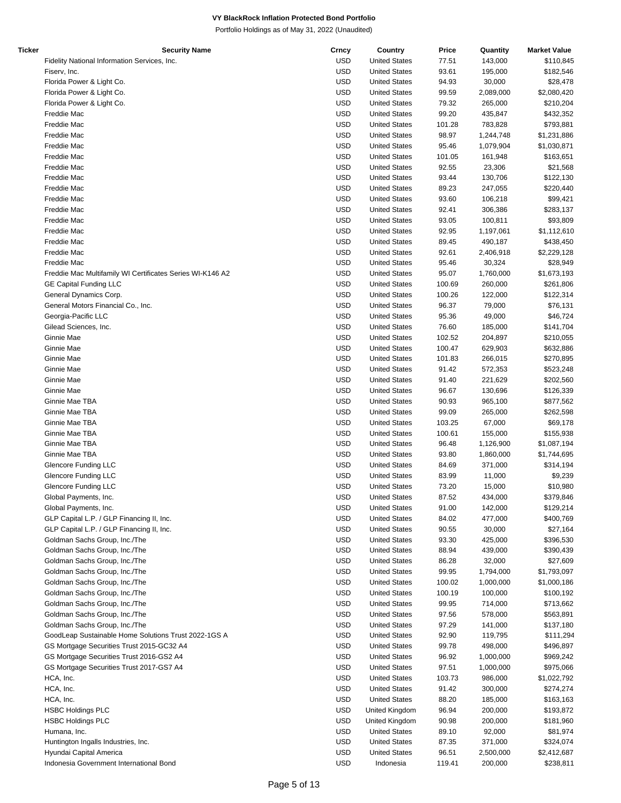| Ticker | <b>Security Name</b>                                      | Crncy      | Country              | Price  | Quantity  | <b>Market Value</b> |
|--------|-----------------------------------------------------------|------------|----------------------|--------|-----------|---------------------|
|        | Fidelity National Information Services, Inc.              | <b>USD</b> | <b>United States</b> | 77.51  | 143,000   | \$110,845           |
|        | Fiserv, Inc.                                              | USD        | <b>United States</b> | 93.61  | 195,000   | \$182,546           |
|        | Florida Power & Light Co.                                 | <b>USD</b> | <b>United States</b> | 94.93  | 30,000    | \$28,478            |
|        | Florida Power & Light Co.                                 | <b>USD</b> | <b>United States</b> | 99.59  | 2,089,000 | \$2,080,420         |
|        | Florida Power & Light Co.                                 | <b>USD</b> | <b>United States</b> | 79.32  | 265,000   | \$210,204           |
|        | Freddie Mac                                               | <b>USD</b> | <b>United States</b> | 99.20  | 435,847   | \$432,352           |
|        | Freddie Mac                                               | <b>USD</b> | <b>United States</b> | 101.28 | 783,828   | \$793,881           |
|        | Freddie Mac                                               | <b>USD</b> | <b>United States</b> | 98.97  | 1,244,748 | \$1,231,886         |
|        | Freddie Mac                                               | <b>USD</b> | <b>United States</b> | 95.46  | 1,079,904 | \$1,030,871         |
|        | Freddie Mac                                               | USD        | <b>United States</b> | 101.05 | 161,948   | \$163,651           |
|        | Freddie Mac                                               | USD        | <b>United States</b> | 92.55  | 23,306    | \$21,568            |
|        | Freddie Mac                                               | <b>USD</b> | <b>United States</b> | 93.44  | 130,706   | \$122,130           |
|        | Freddie Mac                                               | <b>USD</b> | <b>United States</b> | 89.23  | 247,055   | \$220,440           |
|        | Freddie Mac                                               | <b>USD</b> | <b>United States</b> | 93.60  | 106,218   | \$99,421            |
|        | Freddie Mac                                               | <b>USD</b> | <b>United States</b> | 92.41  | 306,386   | \$283,137           |
|        | Freddie Mac                                               | <b>USD</b> | <b>United States</b> | 93.05  | 100,811   | \$93,809            |
|        | Freddie Mac                                               | <b>USD</b> | <b>United States</b> | 92.95  | 1,197,061 | \$1,112,610         |
|        | Freddie Mac                                               | USD        | <b>United States</b> | 89.45  | 490,187   | \$438,450           |
|        | Freddie Mac                                               | USD        | <b>United States</b> | 92.61  | 2,406,918 | \$2,229,128         |
|        | Freddie Mac                                               | <b>USD</b> | <b>United States</b> | 95.46  | 30,324    | \$28,949            |
|        | Freddie Mac Multifamily WI Certificates Series WI-K146 A2 | <b>USD</b> | <b>United States</b> | 95.07  | 1,760,000 | \$1,673,193         |
|        | <b>GE Capital Funding LLC</b>                             | USD        | <b>United States</b> | 100.69 | 260,000   | \$261,806           |
|        | General Dynamics Corp.                                    | <b>USD</b> | <b>United States</b> | 100.26 | 122,000   | \$122,314           |
|        | General Motors Financial Co., Inc.                        | <b>USD</b> | <b>United States</b> | 96.37  | 79,000    | \$76,131            |
|        | Georgia-Pacific LLC                                       | <b>USD</b> | <b>United States</b> | 95.36  | 49,000    | \$46,724            |
|        | Gilead Sciences, Inc.                                     | USD        | <b>United States</b> | 76.60  | 185,000   | \$141,704           |
|        | Ginnie Mae                                                | USD        | <b>United States</b> | 102.52 | 204,897   | \$210,055           |
|        | Ginnie Mae                                                | <b>USD</b> | <b>United States</b> | 100.47 | 629,903   | \$632,886           |
|        | Ginnie Mae                                                | <b>USD</b> | <b>United States</b> | 101.83 | 266,015   | \$270,895           |
|        | Ginnie Mae                                                | <b>USD</b> | <b>United States</b> | 91.42  | 572,353   | \$523,248           |
|        | Ginnie Mae                                                | <b>USD</b> | <b>United States</b> | 91.40  | 221,629   | \$202,560           |
|        | Ginnie Mae                                                | <b>USD</b> | <b>United States</b> | 96.67  | 130,696   | \$126,339           |
|        | Ginnie Mae TBA                                            | <b>USD</b> | <b>United States</b> | 90.93  | 965,100   | \$877,562           |
|        | Ginnie Mae TBA                                            | USD        | <b>United States</b> | 99.09  | 265,000   | \$262,598           |
|        | Ginnie Mae TBA                                            | USD        | <b>United States</b> | 103.25 | 67,000    | \$69,178            |
|        | Ginnie Mae TBA                                            | <b>USD</b> | <b>United States</b> | 100.61 | 155,000   | \$155,938           |
|        | Ginnie Mae TBA                                            | <b>USD</b> | <b>United States</b> | 96.48  | 1,126,900 | \$1,087,194         |
|        | Ginnie Mae TBA                                            | USD        | <b>United States</b> | 93.80  | 1,860,000 | \$1,744,695         |
|        | Glencore Funding LLC                                      | <b>USD</b> | <b>United States</b> | 84.69  | 371,000   | \$314,194           |
|        | Glencore Funding LLC                                      | <b>USD</b> | <b>United States</b> | 83.99  | 11,000    | \$9,239             |
|        | <b>Glencore Funding LLC</b>                               | <b>USD</b> | <b>United States</b> | 73.20  | 15,000    | \$10,980            |
|        | Global Payments, Inc.                                     | <b>USD</b> | <b>United States</b> | 87.52  | 434,000   | \$379,846           |
|        | Global Payments, Inc.                                     | USD        | <b>United States</b> | 91.00  | 142,000   | \$129,214           |
|        | GLP Capital L.P. / GLP Financing II, Inc.                 | <b>USD</b> | <b>United States</b> | 84.02  | 477,000   | \$400,769           |
|        | GLP Capital L.P. / GLP Financing II, Inc.                 | <b>USD</b> | <b>United States</b> | 90.55  | 30,000    | \$27,164            |
|        | Goldman Sachs Group, Inc./The                             | <b>USD</b> | <b>United States</b> | 93.30  | 425,000   | \$396,530           |
|        | Goldman Sachs Group, Inc./The                             | USD        | <b>United States</b> | 88.94  | 439,000   | \$390,439           |
|        | Goldman Sachs Group, Inc./The                             | <b>USD</b> | <b>United States</b> | 86.28  | 32,000    | \$27,609            |
|        | Goldman Sachs Group, Inc./The                             | <b>USD</b> | <b>United States</b> | 99.95  | 1,794,000 | \$1,793,097         |
|        | Goldman Sachs Group, Inc./The                             | USD        | <b>United States</b> | 100.02 | 1,000,000 | \$1,000,186         |
|        | Goldman Sachs Group, Inc./The                             | <b>USD</b> | <b>United States</b> | 100.19 | 100,000   | \$100,192           |
|        | Goldman Sachs Group, Inc./The                             | <b>USD</b> | <b>United States</b> | 99.95  | 714,000   | \$713,662           |
|        | Goldman Sachs Group, Inc./The                             | <b>USD</b> | <b>United States</b> | 97.56  | 578,000   | \$563,891           |
|        | Goldman Sachs Group, Inc./The                             | USD        | <b>United States</b> | 97.29  | 141,000   | \$137,180           |
|        | GoodLeap Sustainable Home Solutions Trust 2022-1GS A      | USD        | <b>United States</b> | 92.90  | 119,795   | \$111,294           |
|        | GS Mortgage Securities Trust 2015-GC32 A4                 | USD        | <b>United States</b> | 99.78  | 498,000   | \$496,897           |
|        | GS Mortgage Securities Trust 2016-GS2 A4                  | <b>USD</b> | <b>United States</b> | 96.92  | 1,000,000 | \$969,242           |
|        | GS Mortgage Securities Trust 2017-GS7 A4                  | <b>USD</b> | <b>United States</b> | 97.51  | 1,000,000 | \$975,066           |
|        | HCA, Inc.                                                 | <b>USD</b> | <b>United States</b> | 103.73 | 986,000   | \$1,022,792         |
|        | HCA, Inc.                                                 | <b>USD</b> | <b>United States</b> | 91.42  | 300,000   | \$274,274           |
|        | HCA, Inc.                                                 | <b>USD</b> | <b>United States</b> | 88.20  | 185,000   | \$163,163           |
|        | <b>HSBC Holdings PLC</b>                                  | <b>USD</b> | United Kingdom       | 96.94  | 200,000   | \$193,872           |
|        | <b>HSBC Holdings PLC</b>                                  | USD        | United Kingdom       | 90.98  | 200,000   | \$181,960           |
|        | Humana, Inc.                                              | <b>USD</b> | <b>United States</b> | 89.10  | 92,000    | \$81,974            |
|        | Huntington Ingalls Industries, Inc.                       | <b>USD</b> | <b>United States</b> | 87.35  | 371,000   | \$324,074           |
|        | Hyundai Capital America                                   | USD        | <b>United States</b> | 96.51  | 2,500,000 | \$2,412,687         |
|        | Indonesia Government International Bond                   | <b>USD</b> | Indonesia            | 119.41 | 200,000   | \$238,811           |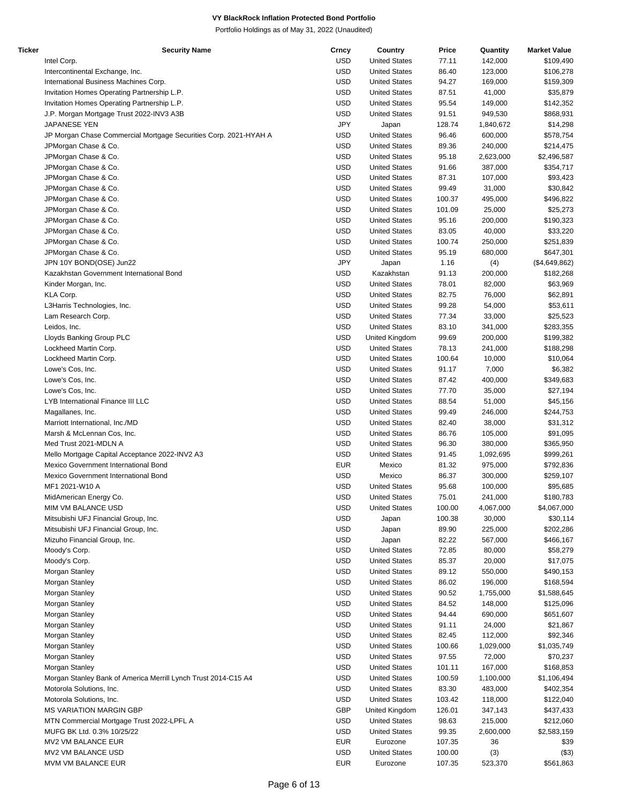| Ticker | <b>Security Name</b>                                             | Crncy      | Country              | Price  | Quantity  | <b>Market Value</b> |
|--------|------------------------------------------------------------------|------------|----------------------|--------|-----------|---------------------|
|        | Intel Corp.                                                      | <b>USD</b> | <b>United States</b> | 77.11  | 142,000   | \$109,490           |
|        | Intercontinental Exchange, Inc.                                  | <b>USD</b> | <b>United States</b> | 86.40  | 123,000   | \$106,278           |
|        | International Business Machines Corp.                            | <b>USD</b> | <b>United States</b> | 94.27  | 169,000   | \$159,309           |
|        | Invitation Homes Operating Partnership L.P.                      | <b>USD</b> | <b>United States</b> | 87.51  | 41,000    | \$35,879            |
|        | Invitation Homes Operating Partnership L.P.                      | <b>USD</b> | <b>United States</b> | 95.54  | 149,000   | \$142,352           |
|        | J.P. Morgan Mortgage Trust 2022-INV3 A3B                         | <b>USD</b> | <b>United States</b> | 91.51  | 949,530   | \$868,931           |
|        |                                                                  | <b>JPY</b> |                      |        |           |                     |
|        | JAPANESE YEN                                                     |            | Japan                | 128.74 | 1,840,672 | \$14,298            |
|        | JP Morgan Chase Commercial Mortgage Securities Corp. 2021-HYAH A | <b>USD</b> | <b>United States</b> | 96.46  | 600,000   | \$578,754           |
|        | JPMorgan Chase & Co.                                             | <b>USD</b> | <b>United States</b> | 89.36  | 240,000   | \$214,475           |
|        | JPMorgan Chase & Co.                                             | <b>USD</b> | <b>United States</b> | 95.18  | 2,623,000 | \$2,496,587         |
|        | JPMorgan Chase & Co.                                             | <b>USD</b> | <b>United States</b> | 91.66  | 387,000   | \$354,717           |
|        | JPMorgan Chase & Co.                                             | <b>USD</b> | <b>United States</b> | 87.31  | 107,000   | \$93,423            |
|        | JPMorgan Chase & Co.                                             | <b>USD</b> | <b>United States</b> | 99.49  | 31,000    | \$30,842            |
|        | JPMorgan Chase & Co.                                             | <b>USD</b> | <b>United States</b> | 100.37 | 495,000   | \$496,822           |
|        | JPMorgan Chase & Co.                                             | <b>USD</b> | <b>United States</b> | 101.09 | 25,000    | \$25,273            |
|        |                                                                  | <b>USD</b> | <b>United States</b> | 95.16  | 200,000   | \$190,323           |
|        | JPMorgan Chase & Co.                                             |            |                      |        |           |                     |
|        | JPMorgan Chase & Co.                                             | <b>USD</b> | <b>United States</b> | 83.05  | 40,000    | \$33,220            |
|        | JPMorgan Chase & Co.                                             | <b>USD</b> | <b>United States</b> | 100.74 | 250,000   | \$251,839           |
|        | JPMorgan Chase & Co.                                             | <b>USD</b> | <b>United States</b> | 95.19  | 680,000   | \$647,301           |
|        | JPN 10Y BOND(OSE) Jun22                                          | <b>JPY</b> | Japan                | 1.16   | (4)       | (\$4,649,862)       |
|        | Kazakhstan Government International Bond                         | <b>USD</b> | Kazakhstan           | 91.13  | 200,000   | \$182,268           |
|        | Kinder Morgan, Inc.                                              | <b>USD</b> | <b>United States</b> | 78.01  | 82,000    | \$63,969            |
|        | KLA Corp.                                                        | <b>USD</b> | <b>United States</b> | 82.75  | 76,000    | \$62,891            |
|        | L3Harris Technologies, Inc.                                      | <b>USD</b> | <b>United States</b> | 99.28  | 54,000    | \$53,611            |
|        | Lam Research Corp.                                               | <b>USD</b> | <b>United States</b> | 77.34  | 33,000    | \$25,523            |
|        |                                                                  |            |                      |        |           |                     |
|        | Leidos, Inc.                                                     | <b>USD</b> | <b>United States</b> | 83.10  | 341,000   | \$283,355           |
|        | Lloyds Banking Group PLC                                         | <b>USD</b> | United Kingdom       | 99.69  | 200,000   | \$199,382           |
|        | Lockheed Martin Corp.                                            | <b>USD</b> | <b>United States</b> | 78.13  | 241,000   | \$188,298           |
|        | Lockheed Martin Corp.                                            | <b>USD</b> | <b>United States</b> | 100.64 | 10,000    | \$10,064            |
|        | Lowe's Cos, Inc.                                                 | <b>USD</b> | <b>United States</b> | 91.17  | 7,000     | \$6,382             |
|        | Lowe's Cos, Inc.                                                 | <b>USD</b> | <b>United States</b> | 87.42  | 400,000   | \$349,683           |
|        | Lowe's Cos, Inc.                                                 | <b>USD</b> | <b>United States</b> | 77.70  | 35,000    | \$27,194            |
|        | LYB International Finance III LLC                                | <b>USD</b> | <b>United States</b> | 88.54  | 51,000    | \$45,156            |
|        |                                                                  | <b>USD</b> | <b>United States</b> | 99.49  | 246,000   | \$244,753           |
|        | Magallanes, Inc.                                                 |            |                      |        |           |                     |
|        | Marriott International, Inc./MD                                  | <b>USD</b> | <b>United States</b> | 82.40  | 38,000    | \$31,312            |
|        | Marsh & McLennan Cos, Inc.                                       | <b>USD</b> | <b>United States</b> | 86.76  | 105,000   | \$91,095            |
|        | Med Trust 2021-MDLN A                                            | <b>USD</b> | <b>United States</b> | 96.30  | 380,000   | \$365,950           |
|        | Mello Mortgage Capital Acceptance 2022-INV2 A3                   | <b>USD</b> | <b>United States</b> | 91.45  | 1,092,695 | \$999,261           |
|        | Mexico Government International Bond                             | <b>EUR</b> | Mexico               | 81.32  | 975,000   | \$792,836           |
|        | Mexico Government International Bond                             | <b>USD</b> | Mexico               | 86.37  | 300,000   | \$259,107           |
|        | MF1 2021-W10 A                                                   | <b>USD</b> | <b>United States</b> | 95.68  | 100,000   | \$95,685            |
|        | MidAmerican Energy Co.                                           | <b>USD</b> | <b>United States</b> | 75.01  | 241,000   | \$180,783           |
|        | MIM VM BALANCE USD                                               | <b>USD</b> | <b>United States</b> | 100.00 | 4,067,000 | \$4,067,000         |
|        | Mitsubishi UFJ Financial Group, Inc.                             | <b>USD</b> | Japan                | 100.38 | 30,000    | \$30,114            |
|        |                                                                  | <b>USD</b> |                      |        |           |                     |
|        | Mitsubishi UFJ Financial Group, Inc.                             |            | Japan                | 89.90  | 225,000   | \$202,286           |
|        | Mizuho Financial Group, Inc.                                     | <b>USD</b> | Japan                | 82.22  | 567,000   | \$466,167           |
|        | Moody's Corp.                                                    | <b>USD</b> | <b>United States</b> | 72.85  | 80,000    | \$58,279            |
|        | Moody's Corp.                                                    | <b>USD</b> | <b>United States</b> | 85.37  | 20,000    | \$17,075            |
|        | Morgan Stanley                                                   | <b>USD</b> | <b>United States</b> | 89.12  | 550,000   | \$490,153           |
|        | Morgan Stanley                                                   | <b>USD</b> | <b>United States</b> | 86.02  | 196,000   | \$168,594           |
|        | Morgan Stanley                                                   | <b>USD</b> | <b>United States</b> | 90.52  | 1,755,000 | \$1,588,645         |
|        | Morgan Stanley                                                   | <b>USD</b> | <b>United States</b> | 84.52  | 148,000   | \$125,096           |
|        | Morgan Stanley                                                   | <b>USD</b> | <b>United States</b> | 94.44  | 690,000   | \$651,607           |
|        |                                                                  | <b>USD</b> | <b>United States</b> |        |           |                     |
|        | Morgan Stanley                                                   |            |                      | 91.11  | 24,000    | \$21,867            |
|        | Morgan Stanley                                                   | <b>USD</b> | <b>United States</b> | 82.45  | 112,000   | \$92,346            |
|        | Morgan Stanley                                                   | <b>USD</b> | <b>United States</b> | 100.66 | 1,029,000 | \$1,035,749         |
|        | Morgan Stanley                                                   | <b>USD</b> | <b>United States</b> | 97.55  | 72,000    | \$70,237            |
|        | Morgan Stanley                                                   | <b>USD</b> | <b>United States</b> | 101.11 | 167,000   | \$168,853           |
|        | Morgan Stanley Bank of America Merrill Lynch Trust 2014-C15 A4   | <b>USD</b> | <b>United States</b> | 100.59 | 1,100,000 | \$1,106,494         |
|        | Motorola Solutions, Inc.                                         | <b>USD</b> | <b>United States</b> | 83.30  | 483,000   | \$402,354           |
|        | Motorola Solutions, Inc.                                         | <b>USD</b> | <b>United States</b> | 103.42 | 118,000   | \$122,040           |
|        | <b>MS VARIATION MARGIN GBP</b>                                   | GBP        | United Kingdom       | 126.01 | 347,143   | \$437,433           |
|        |                                                                  |            |                      |        |           |                     |
|        | MTN Commercial Mortgage Trust 2022-LPFL A                        | <b>USD</b> | <b>United States</b> | 98.63  | 215,000   | \$212,060           |
|        | MUFG BK Ltd. 0.3% 10/25/22                                       | <b>USD</b> | <b>United States</b> | 99.35  | 2,600,000 | \$2,583,159         |
|        | MV2 VM BALANCE EUR                                               | <b>EUR</b> | Eurozone             | 107.35 | 36        | \$39                |
|        | MV2 VM BALANCE USD                                               | <b>USD</b> | <b>United States</b> | 100.00 | (3)       | (\$3)               |
|        | MVM VM BALANCE EUR                                               | <b>EUR</b> | Eurozone             | 107.35 | 523,370   | \$561,863           |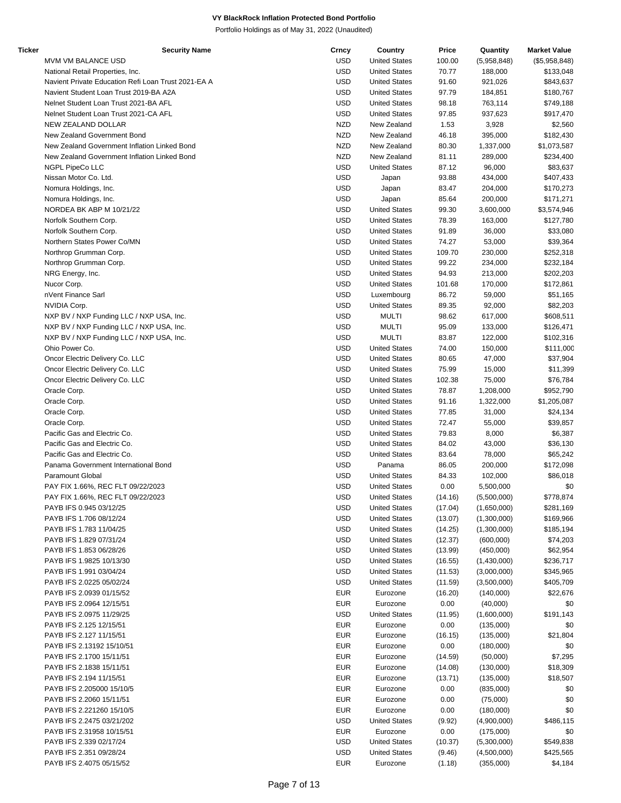| Ticker | <b>Security Name</b>                                | Crncy      | Country              | Price   | Quantity    | <b>Market Value</b> |
|--------|-----------------------------------------------------|------------|----------------------|---------|-------------|---------------------|
|        | MVM VM BALANCE USD                                  | <b>USD</b> | <b>United States</b> | 100.00  | (5,958,848) | (\$5,958,848)       |
|        | National Retail Properties, Inc.                    | <b>USD</b> | <b>United States</b> | 70.77   | 188,000     | \$133,048           |
|        | Navient Private Education Refi Loan Trust 2021-EA A | <b>USD</b> | <b>United States</b> | 91.60   | 921,026     | \$843,637           |
|        | Navient Student Loan Trust 2019-BA A2A              | <b>USD</b> | <b>United States</b> | 97.79   | 184,851     | \$180,767           |
|        | Nelnet Student Loan Trust 2021-BA AFL               | <b>USD</b> | <b>United States</b> | 98.18   | 763,114     | \$749,188           |
|        |                                                     |            |                      |         |             |                     |
|        | Nelnet Student Loan Trust 2021-CA AFL               | <b>USD</b> | <b>United States</b> | 97.85   | 937,623     | \$917,470           |
|        | NEW ZEALAND DOLLAR                                  | <b>NZD</b> | New Zealand          | 1.53    | 3,928       | \$2,560             |
|        | New Zealand Government Bond                         | <b>NZD</b> | New Zealand          | 46.18   | 395,000     | \$182,430           |
|        | New Zealand Government Inflation Linked Bond        | <b>NZD</b> | New Zealand          | 80.30   | 1,337,000   | \$1,073,587         |
|        | New Zealand Government Inflation Linked Bond        | <b>NZD</b> | New Zealand          | 81.11   | 289,000     | \$234,400           |
|        | NGPL PipeCo LLC                                     | <b>USD</b> | <b>United States</b> | 87.12   | 96,000      | \$83,637            |
|        | Nissan Motor Co. Ltd.                               | <b>USD</b> | Japan                | 93.88   | 434,000     | \$407,433           |
|        |                                                     | <b>USD</b> |                      |         |             |                     |
|        | Nomura Holdings, Inc.                               |            | Japan                | 83.47   | 204,000     | \$170,273           |
|        | Nomura Holdings, Inc.                               | <b>USD</b> | Japan                | 85.64   | 200,000     | \$171,271           |
|        | NORDEA BK ABP M 10/21/22                            | <b>USD</b> | <b>United States</b> | 99.30   | 3,600,000   | \$3,574,946         |
|        | Norfolk Southern Corp.                              | <b>USD</b> | <b>United States</b> | 78.39   | 163,000     | \$127,780           |
|        | Norfolk Southern Corp.                              | <b>USD</b> | <b>United States</b> | 91.89   | 36,000      | \$33,080            |
|        | Northern States Power Co/MN                         | <b>USD</b> | <b>United States</b> | 74.27   | 53,000      | \$39,364            |
|        | Northrop Grumman Corp.                              | <b>USD</b> | <b>United States</b> | 109.70  | 230,000     | \$252,318           |
|        | Northrop Grumman Corp.                              | <b>USD</b> | <b>United States</b> | 99.22   | 234,000     | \$232,184           |
|        |                                                     |            |                      |         |             |                     |
|        | NRG Energy, Inc.                                    | <b>USD</b> | <b>United States</b> | 94.93   | 213,000     | \$202,203           |
|        | Nucor Corp.                                         | <b>USD</b> | <b>United States</b> | 101.68  | 170,000     | \$172,861           |
|        | nVent Finance Sarl                                  | <b>USD</b> | Luxembourg           | 86.72   | 59,000      | \$51,165            |
|        | NVIDIA Corp.                                        | <b>USD</b> | <b>United States</b> | 89.35   | 92,000      | \$82,203            |
|        | NXP BV / NXP Funding LLC / NXP USA, Inc.            | <b>USD</b> | <b>MULTI</b>         | 98.62   | 617,000     | \$608,511           |
|        | NXP BV / NXP Funding LLC / NXP USA, Inc.            | <b>USD</b> | <b>MULTI</b>         | 95.09   | 133,000     | \$126,471           |
|        | NXP BV / NXP Funding LLC / NXP USA, Inc.            | <b>USD</b> | <b>MULTI</b>         | 83.87   | 122,000     | \$102,316           |
|        |                                                     |            |                      |         |             |                     |
|        | Ohio Power Co.                                      | <b>USD</b> | <b>United States</b> | 74.00   | 150,000     | \$111,000           |
|        | Oncor Electric Delivery Co. LLC                     | <b>USD</b> | <b>United States</b> | 80.65   | 47,000      | \$37,904            |
|        | Oncor Electric Delivery Co. LLC                     | <b>USD</b> | <b>United States</b> | 75.99   | 15,000      | \$11,399            |
|        | Oncor Electric Delivery Co. LLC                     | <b>USD</b> | <b>United States</b> | 102.38  | 75,000      | \$76,784            |
|        | Oracle Corp.                                        | <b>USD</b> | <b>United States</b> | 78.87   | 1,208,000   | \$952,790           |
|        | Oracle Corp.                                        | <b>USD</b> | <b>United States</b> | 91.16   | 1,322,000   | \$1,205,087         |
|        | Oracle Corp.                                        | <b>USD</b> | <b>United States</b> | 77.85   | 31,000      | \$24,134            |
|        |                                                     |            |                      |         |             |                     |
|        | Oracle Corp.                                        | <b>USD</b> | <b>United States</b> | 72.47   | 55,000      | \$39,857            |
|        | Pacific Gas and Electric Co.                        | <b>USD</b> | <b>United States</b> | 79.83   | 8,000       | \$6,387             |
|        | Pacific Gas and Electric Co.                        | <b>USD</b> | <b>United States</b> | 84.02   | 43,000      | \$36,130            |
|        | Pacific Gas and Electric Co.                        | <b>USD</b> | <b>United States</b> | 83.64   | 78,000      | \$65,242            |
|        | Panama Government International Bond                | <b>USD</b> | Panama               | 86.05   | 200,000     | \$172,098           |
|        | <b>Paramount Global</b>                             | <b>USD</b> | <b>United States</b> | 84.33   | 102,000     | \$86,018            |
|        | PAY FIX 1.66%, REC FLT 09/22/2023                   | <b>USD</b> | <b>United States</b> | 0.00    | 5,500,000   | \$0                 |
|        | PAY FIX 1.66%, REC FLT 09/22/2023                   | <b>USD</b> | <b>United States</b> | (14.16) | (5,500,000) | \$778,874           |
|        |                                                     |            |                      |         |             |                     |
|        | PAYB IFS 0.945 03/12/25                             | USD        | <b>United States</b> | (17.04) | (1,650,000) | \$281,169           |
|        | PAYB IFS 1.706 08/12/24                             | <b>USD</b> | <b>United States</b> | (13.07) | (1,300,000) | \$169,966           |
|        | PAYB IFS 1.783 11/04/25                             | USD        | <b>United States</b> | (14.25) | (1,300,000) | \$185,194           |
|        | PAYB IFS 1.829 07/31/24                             | USD        | <b>United States</b> | (12.37) | (600,000)   | \$74,203            |
|        | PAYB IFS 1.853 06/28/26                             | <b>USD</b> | <b>United States</b> | (13.99) | (450,000)   | \$62,954            |
|        | PAYB IFS 1.9825 10/13/30                            | USD        | <b>United States</b> | (16.55) | (1,430,000) | \$236,717           |
|        | PAYB IFS 1.991 03/04/24                             | USD        | <b>United States</b> | (11.53) | (3,000,000) | \$345,965           |
|        | PAYB IFS 2.0225 05/02/24                            | <b>USD</b> | <b>United States</b> |         |             | \$405,709           |
|        |                                                     |            |                      | (11.59) | (3,500,000) |                     |
|        | PAYB IFS 2.0939 01/15/52                            | <b>EUR</b> | Eurozone             | (16.20) | (140,000)   | \$22,676            |
|        | PAYB IFS 2.0964 12/15/51                            | <b>EUR</b> | Eurozone             | 0.00    | (40,000)    | \$0                 |
|        | PAYB IFS 2.0975 11/29/25                            | USD        | <b>United States</b> | (11.95) | (1,600,000) | \$191,143           |
|        | PAYB IFS 2.125 12/15/51                             | <b>EUR</b> | Eurozone             | 0.00    | (135,000)   | \$0                 |
|        | PAYB IFS 2.127 11/15/51                             | <b>EUR</b> | Eurozone             | (16.15) | (135,000)   | \$21,804            |
|        | PAYB IFS 2.13192 15/10/51                           | <b>EUR</b> | Eurozone             | 0.00    | (180,000)   | \$0                 |
|        |                                                     |            |                      |         |             |                     |
|        | PAYB IFS 2.1700 15/11/51                            | <b>EUR</b> | Eurozone             | (14.59) | (50,000)    | \$7,295             |
|        | PAYB IFS 2.1838 15/11/51                            | <b>EUR</b> | Eurozone             | (14.08) | (130,000)   | \$18,309            |
|        | PAYB IFS 2.194 11/15/51                             | <b>EUR</b> | Eurozone             | (13.71) | (135,000)   | \$18,507            |
|        | PAYB IFS 2.205000 15/10/5                           | <b>EUR</b> | Eurozone             | 0.00    | (835,000)   | \$0                 |
|        | PAYB IFS 2.2060 15/11/51                            | <b>EUR</b> | Eurozone             | 0.00    | (75,000)    | \$0                 |
|        | PAYB IFS 2.221260 15/10/5                           | <b>EUR</b> | Eurozone             | 0.00    | (180,000)   | \$0                 |
|        | PAYB IFS 2.2475 03/21/202                           | <b>USD</b> | <b>United States</b> | (9.92)  | (4,900,000) | \$486,115           |
|        |                                                     |            |                      |         |             |                     |
|        | PAYB IFS 2.31958 10/15/51                           | <b>EUR</b> | Eurozone             | 0.00    | (175,000)   | \$0                 |
|        | PAYB IFS 2.339 02/17/24                             | USD        | <b>United States</b> | (10.37) | (5,300,000) | \$549,838           |
|        | PAYB IFS 2.351 09/28/24                             | <b>USD</b> | <b>United States</b> | (9.46)  | (4,500,000) | \$425,565           |
|        | PAYB IFS 2.4075 05/15/52                            | <b>EUR</b> | Eurozone             | (1.18)  | (355,000)   | \$4,184             |
|        |                                                     |            |                      |         |             |                     |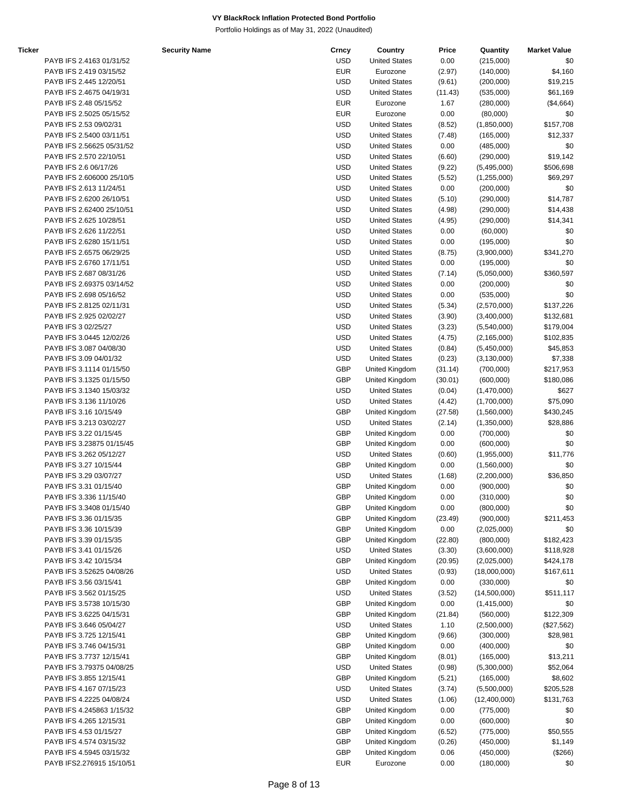| Ticker | <b>Security Name</b>      | Crncy      | Country              | Price   | Quantity      | <b>Market Value</b> |
|--------|---------------------------|------------|----------------------|---------|---------------|---------------------|
|        | PAYB IFS 2.4163 01/31/52  | <b>USD</b> | <b>United States</b> | 0.00    | (215,000)     | \$0                 |
|        | PAYB IFS 2.419 03/15/52   | <b>EUR</b> | Eurozone             | (2.97)  | (140,000)     | \$4,160             |
|        | PAYB IFS 2.445 12/20/51   | <b>USD</b> | <b>United States</b> | (9.61)  | (200,000)     | \$19,215            |
|        | PAYB IFS 2.4675 04/19/31  | <b>USD</b> | <b>United States</b> | (11.43) | (535,000)     | \$61,169            |
|        | PAYB IFS 2.48 05/15/52    | <b>EUR</b> | Eurozone             | 1.67    | (280,000)     | $(\$4,664)$         |
|        | PAYB IFS 2.5025 05/15/52  | <b>EUR</b> | Eurozone             | 0.00    | (80,000)      | \$0                 |
|        |                           | <b>USD</b> | <b>United States</b> |         |               | \$157,708           |
|        | PAYB IFS 2.53 09/02/31    |            |                      | (8.52)  | (1,850,000)   |                     |
|        | PAYB IFS 2.5400 03/11/51  | <b>USD</b> | <b>United States</b> | (7.48)  | (165,000)     | \$12,337            |
|        | PAYB IFS 2.56625 05/31/52 | <b>USD</b> | <b>United States</b> | 0.00    | (485,000)     | \$0                 |
|        | PAYB IFS 2.570 22/10/51   | <b>USD</b> | <b>United States</b> | (6.60)  | (290,000)     | \$19,142            |
|        | PAYB IFS 2.6 06/17/26     | <b>USD</b> | <b>United States</b> | (9.22)  | (5,495,000)   | \$506,698           |
|        | PAYB IFS 2.606000 25/10/5 | <b>USD</b> | <b>United States</b> | (5.52)  | (1,255,000)   | \$69,297            |
|        | PAYB IFS 2.613 11/24/51   | <b>USD</b> | <b>United States</b> | 0.00    | (200,000)     | \$0                 |
|        | PAYB IFS 2.6200 26/10/51  | <b>USD</b> | <b>United States</b> | (5.10)  | (290,000)     | \$14,787            |
|        | PAYB IFS 2.62400 25/10/51 | <b>USD</b> | <b>United States</b> | (4.98)  | (290,000)     | \$14,438            |
|        | PAYB IFS 2.625 10/28/51   | <b>USD</b> | <b>United States</b> | (4.95)  | (290,000)     | \$14,341            |
|        | PAYB IFS 2.626 11/22/51   | <b>USD</b> | <b>United States</b> | 0.00    | (60,000)      | \$0                 |
|        | PAYB IFS 2.6280 15/11/51  | <b>USD</b> | <b>United States</b> | 0.00    | (195,000)     | \$0                 |
|        | PAYB IFS 2.6575 06/29/25  | <b>USD</b> | <b>United States</b> | (8.75)  | (3,900,000)   | \$341,270           |
|        | PAYB IFS 2.6760 17/11/51  | <b>USD</b> | <b>United States</b> | 0.00    | (195,000)     | \$0                 |
|        | PAYB IFS 2.687 08/31/26   | <b>USD</b> | <b>United States</b> | (7.14)  | (5,050,000)   | \$360,597           |
|        |                           | <b>USD</b> | <b>United States</b> |         |               |                     |
|        | PAYB IFS 2.69375 03/14/52 |            |                      | 0.00    | (200,000)     | \$0                 |
|        | PAYB IFS 2.698 05/16/52   | <b>USD</b> | <b>United States</b> | 0.00    | (535,000)     | \$0                 |
|        | PAYB IFS 2.8125 02/11/31  | <b>USD</b> | <b>United States</b> | (5.34)  | (2,570,000)   | \$137,226           |
|        | PAYB IFS 2.925 02/02/27   | <b>USD</b> | <b>United States</b> | (3.90)  | (3,400,000)   | \$132,681           |
|        | PAYB IFS 3 02/25/27       | <b>USD</b> | <b>United States</b> | (3.23)  | (5,540,000)   | \$179,004           |
|        | PAYB IFS 3.0445 12/02/26  | <b>USD</b> | <b>United States</b> | (4.75)  | (2, 165, 000) | \$102,835           |
|        | PAYB IFS 3.087 04/08/30   | <b>USD</b> | <b>United States</b> | (0.84)  | (5,450,000)   | \$45,853            |
|        | PAYB IFS 3.09 04/01/32    | <b>USD</b> | <b>United States</b> | (0.23)  | (3, 130, 000) | \$7,338             |
|        | PAYB IFS 3.1114 01/15/50  | <b>GBP</b> | United Kingdom       | (31.14) | (700,000)     | \$217,953           |
|        | PAYB IFS 3.1325 01/15/50  | <b>GBP</b> | United Kingdom       | (30.01) | (600,000)     | \$180,086           |
|        | PAYB IFS 3.1340 15/03/32  | <b>USD</b> | <b>United States</b> | (0.04)  | (1,470,000)   | \$627               |
|        | PAYB IFS 3.136 11/10/26   | <b>USD</b> | <b>United States</b> | (4.42)  | (1,700,000)   | \$75,090            |
|        | PAYB IFS 3.16 10/15/49    | <b>GBP</b> | United Kingdom       | (27.58) | (1,560,000)   | \$430,245           |
|        | PAYB IFS 3.213 03/02/27   | <b>USD</b> | <b>United States</b> | (2.14)  | (1,350,000)   | \$28,886            |
|        | PAYB IFS 3.22 01/15/45    | <b>GBP</b> |                      | 0.00    |               | \$0                 |
|        |                           |            | United Kingdom       |         | (700,000)     |                     |
|        | PAYB IFS 3.23875 01/15/45 | <b>GBP</b> | United Kingdom       | 0.00    | (600,000)     | \$0                 |
|        | PAYB IFS 3.262 05/12/27   | <b>USD</b> | <b>United States</b> | (0.60)  | (1,955,000)   | \$11,776            |
|        | PAYB IFS 3.27 10/15/44    | <b>GBP</b> | United Kingdom       | 0.00    | (1,560,000)   | \$0                 |
|        | PAYB IFS 3.29 03/07/27    | <b>USD</b> | <b>United States</b> | (1.68)  | (2,200,000)   | \$36,850            |
|        | PAYB IFS 3.31 01/15/40    | GBP        | United Kingdom       | 0.00    | (900,000)     | \$0                 |
|        | PAYB IFS 3.336 11/15/40   | <b>GBP</b> | United Kingdom       | 0.00    | (310,000)     | \$0                 |
|        | PAYB IFS 3.3408 01/15/40  | <b>GBP</b> | United Kingdom       | 0.00    | (800,000)     | \$0                 |
|        | PAYB IFS 3.36 01/15/35    | <b>GBP</b> | United Kingdom       | (23.49) | (900,000)     | \$211,453           |
|        | PAYB IFS 3.36 10/15/39    | <b>GBP</b> | United Kingdom       | 0.00    | (2,025,000)   | \$0                 |
|        | PAYB IFS 3.39 01/15/35    | <b>GBP</b> | United Kingdom       | (22.80) | (800,000)     | \$182,423           |
|        | PAYB IFS 3.41 01/15/26    | <b>USD</b> | <b>United States</b> | (3.30)  | (3,600,000)   | \$118,928           |
|        | PAYB IFS 3.42 10/15/34    | <b>GBP</b> | United Kingdom       | (20.95) | (2,025,000)   | \$424,178           |
|        | PAYB IFS 3.52625 04/08/26 | <b>USD</b> | <b>United States</b> | (0.93)  | (18,000,000)  | \$167,611           |
|        | PAYB IFS 3.56 03/15/41    | <b>GBP</b> | United Kingdom       | 0.00    | (330,000)     | \$0                 |
|        | PAYB IFS 3.562 01/15/25   | <b>USD</b> | <b>United States</b> |         |               |                     |
|        |                           |            |                      | (3.52)  | (14,500,000)  | \$511,117           |
|        | PAYB IFS 3.5738 10/15/30  | <b>GBP</b> | United Kingdom       | 0.00    | (1,415,000)   | \$0                 |
|        | PAYB IFS 3.6225 04/15/31  | <b>GBP</b> | United Kingdom       | (21.84) | (560,000)     | \$122,309           |
|        | PAYB IFS 3.646 05/04/27   | <b>USD</b> | <b>United States</b> | 1.10    | (2,500,000)   | (\$27,562)          |
|        | PAYB IFS 3.725 12/15/41   | <b>GBP</b> | United Kingdom       | (9.66)  | (300,000)     | \$28,981            |
|        | PAYB IFS 3.746 04/15/31   | <b>GBP</b> | United Kingdom       | 0.00    | (400,000)     | \$0                 |
|        | PAYB IFS 3.7737 12/15/41  | GBP        | United Kingdom       | (8.01)  | (165,000)     | \$13,211            |
|        | PAYB IFS 3.79375 04/08/25 | <b>USD</b> | <b>United States</b> | (0.98)  | (5,300,000)   | \$52,064            |
|        | PAYB IFS 3.855 12/15/41   | GBP        | United Kingdom       | (5.21)  | (165,000)     | \$8,602             |
|        | PAYB IFS 4.167 07/15/23   | <b>USD</b> | <b>United States</b> | (3.74)  | (5,500,000)   | \$205,528           |
|        | PAYB IFS 4.2225 04/08/24  | <b>USD</b> | <b>United States</b> | (1.06)  | (12,400,000)  | \$131,763           |
|        | PAYB IFS 4.245863 1/15/32 | <b>GBP</b> | United Kingdom       | 0.00    | (775,000)     | \$0                 |
|        | PAYB IFS 4.265 12/15/31   | <b>GBP</b> | United Kingdom       | 0.00    | (600,000)     | \$0                 |
|        |                           | <b>GBP</b> | United Kingdom       |         |               |                     |
|        | PAYB IFS 4.53 01/15/27    |            |                      | (6.52)  | (775,000)     | \$50,555            |
|        | PAYB IFS 4.574 03/15/32   | <b>GBP</b> | United Kingdom       | (0.26)  | (450,000)     | \$1,149             |
|        | PAYB IFS 4.5945 03/15/32  | <b>GBP</b> | United Kingdom       | 0.06    | (450,000)     | (\$266)             |
|        | PAYB IFS2.276915 15/10/51 | <b>EUR</b> | Eurozone             | 0.00    | (180,000)     | \$0                 |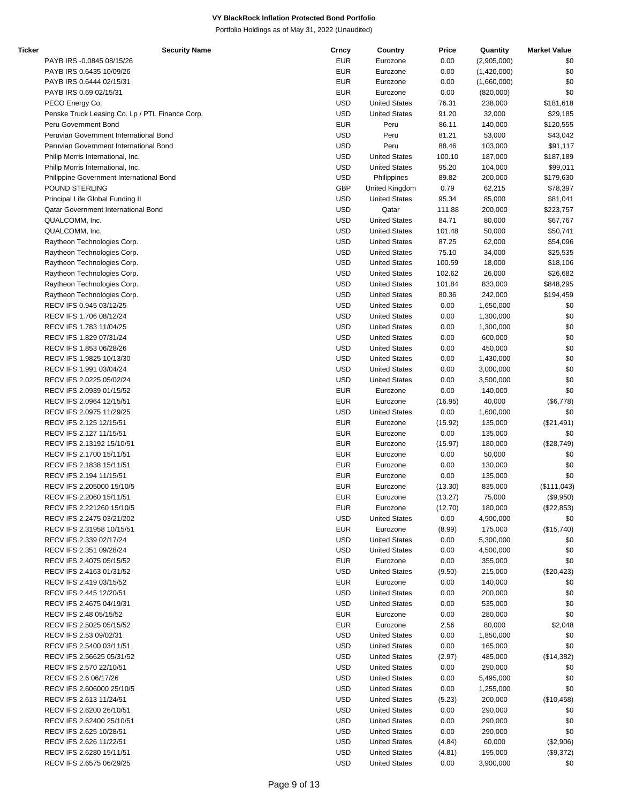| Ticker | <b>Security Name</b>                            | Crncy      | Country              | Price   | Quantity    | <b>Market Value</b> |
|--------|-------------------------------------------------|------------|----------------------|---------|-------------|---------------------|
|        | PAYB IRS -0.0845 08/15/26                       | <b>EUR</b> | Eurozone             | 0.00    | (2,905,000) | \$0                 |
|        | PAYB IRS 0.6435 10/09/26                        | <b>EUR</b> | Eurozone             | 0.00    | (1,420,000) | \$0                 |
|        | PAYB IRS 0.6444 02/15/31                        | <b>EUR</b> | Eurozone             | 0.00    | (1,660,000) | \$0                 |
|        | PAYB IRS 0.69 02/15/31                          | <b>EUR</b> | Eurozone             | 0.00    | (820,000)   | \$0                 |
|        |                                                 |            |                      |         |             |                     |
|        | PECO Energy Co.                                 | <b>USD</b> | <b>United States</b> | 76.31   | 238,000     | \$181,618           |
|        | Penske Truck Leasing Co. Lp / PTL Finance Corp. | <b>USD</b> | <b>United States</b> | 91.20   | 32,000      | \$29,185            |
|        | Peru Government Bond                            | <b>EUR</b> | Peru                 | 86.11   | 140,000     | \$120,555           |
|        | Peruvian Government International Bond          | <b>USD</b> | Peru                 | 81.21   | 53,000      | \$43,042            |
|        | Peruvian Government International Bond          | <b>USD</b> | Peru                 | 88.46   | 103,000     | \$91,117            |
|        | Philip Morris International, Inc.               | <b>USD</b> | <b>United States</b> | 100.10  | 187,000     | \$187,189           |
|        | Philip Morris International, Inc.               | <b>USD</b> | <b>United States</b> | 95.20   | 104,000     | \$99,011            |
|        |                                                 |            |                      |         |             |                     |
|        | Philippine Government International Bond        | <b>USD</b> | Philippines          | 89.82   | 200,000     | \$179,630           |
|        | POUND STERLING                                  | GBP        | United Kingdom       | 0.79    | 62,215      | \$78,397            |
|        | Principal Life Global Funding II                | <b>USD</b> | <b>United States</b> | 95.34   | 85,000      | \$81,041            |
|        | Qatar Government International Bond             | <b>USD</b> | Qatar                | 111.88  | 200,000     | \$223,757           |
|        | QUALCOMM, Inc.                                  | <b>USD</b> | <b>United States</b> | 84.71   | 80,000      | \$67,767            |
|        | QUALCOMM, Inc.                                  | <b>USD</b> | <b>United States</b> | 101.48  | 50,000      | \$50,741            |
|        | Raytheon Technologies Corp.                     | <b>USD</b> | <b>United States</b> | 87.25   | 62,000      | \$54,096            |
|        |                                                 | <b>USD</b> |                      |         |             |                     |
|        | Raytheon Technologies Corp.                     |            | <b>United States</b> | 75.10   | 34,000      | \$25,535            |
|        | Raytheon Technologies Corp.                     | <b>USD</b> | <b>United States</b> | 100.59  | 18,000      | \$18,106            |
|        | Raytheon Technologies Corp.                     | <b>USD</b> | <b>United States</b> | 102.62  | 26,000      | \$26,682            |
|        | Raytheon Technologies Corp.                     | <b>USD</b> | <b>United States</b> | 101.84  | 833,000     | \$848,295           |
|        | Raytheon Technologies Corp.                     | <b>USD</b> | <b>United States</b> | 80.36   | 242,000     | \$194,459           |
|        | RECV IFS 0.945 03/12/25                         | <b>USD</b> | <b>United States</b> | 0.00    | 1,650,000   | \$0                 |
|        |                                                 | <b>USD</b> |                      |         |             |                     |
|        | RECV IFS 1.706 08/12/24                         |            | <b>United States</b> | 0.00    | 1,300,000   | \$0                 |
|        | RECV IFS 1.783 11/04/25                         | <b>USD</b> | <b>United States</b> | 0.00    | 1,300,000   | \$0                 |
|        | RECV IFS 1.829 07/31/24                         | <b>USD</b> | <b>United States</b> | 0.00    | 600,000     | \$0                 |
|        | RECV IFS 1.853 06/28/26                         | <b>USD</b> | <b>United States</b> | 0.00    | 450,000     | \$0                 |
|        | RECV IFS 1.9825 10/13/30                        | <b>USD</b> | <b>United States</b> | 0.00    | 1,430,000   | \$0                 |
|        | RECV IFS 1.991 03/04/24                         | <b>USD</b> | <b>United States</b> | 0.00    | 3,000,000   | \$0                 |
|        | RECV IFS 2.0225 05/02/24                        | <b>USD</b> | <b>United States</b> | 0.00    | 3,500,000   | \$0                 |
|        |                                                 |            |                      |         |             |                     |
|        | RECV IFS 2.0939 01/15/52                        | <b>EUR</b> | Eurozone             | 0.00    | 140,000     | \$0                 |
|        | RECV IFS 2.0964 12/15/51                        | <b>EUR</b> | Eurozone             | (16.95) | 40,000      | (\$6,778)           |
|        | RECV IFS 2.0975 11/29/25                        | <b>USD</b> | <b>United States</b> | 0.00    | 1,600,000   | \$0                 |
|        | RECV IFS 2.125 12/15/51                         | <b>EUR</b> | Eurozone             | (15.92) | 135,000     | (\$21,491)          |
|        | RECV IFS 2.127 11/15/51                         | <b>EUR</b> | Eurozone             | 0.00    | 135,000     | \$0                 |
|        | RECV IFS 2.13192 15/10/51                       | <b>EUR</b> | Eurozone             | (15.97) | 180,000     | (\$28,749)          |
|        | RECV IFS 2.1700 15/11/51                        |            | Eurozone             |         |             |                     |
|        |                                                 | <b>EUR</b> |                      | 0.00    | 50,000      | \$0                 |
|        | RECV IFS 2.1838 15/11/51                        | <b>EUR</b> | Eurozone             | 0.00    | 130,000     | \$0                 |
|        | RECV IFS 2.194 11/15/51                         | <b>EUR</b> | Eurozone             | 0.00    | 135,000     | \$0                 |
|        | RECV IFS 2.205000 15/10/5                       | <b>EUR</b> | Eurozone             | (13.30) | 835,000     | (\$111,043)         |
|        | RECV IFS 2.2060 15/11/51                        | <b>EUR</b> | Eurozone             | (13.27) | 75,000      | (\$9,950)           |
|        | RECV IFS 2.221260 15/10/5                       | <b>EUR</b> | Eurozone             | (12.70) | 180,000     | (\$22,853)          |
|        | RECV IFS 2.2475 03/21/202                       | <b>USD</b> | <b>United States</b> | 0.00    | 4,900,000   | \$0                 |
|        |                                                 |            |                      |         |             |                     |
|        | RECV IFS 2.31958 10/15/51                       | <b>EUR</b> | Eurozone             | (8.99)  | 175,000     | (\$15,740)          |
|        | RECV IFS 2.339 02/17/24                         | USD        | <b>United States</b> | 0.00    | 5,300,000   | \$0                 |
|        | RECV IFS 2.351 09/28/24                         | <b>USD</b> | <b>United States</b> | 0.00    | 4,500,000   | \$0                 |
|        | RECV IFS 2.4075 05/15/52                        | <b>EUR</b> | Eurozone             | 0.00    | 355,000     | \$0                 |
|        | RECV IFS 2.4163 01/31/52                        | USD        | <b>United States</b> | (9.50)  | 215,000     | (\$20,423)          |
|        | RECV IFS 2.419 03/15/52                         | <b>EUR</b> | Eurozone             | 0.00    | 140,000     | \$0                 |
|        | RECV IFS 2.445 12/20/51                         | <b>USD</b> | <b>United States</b> | 0.00    | 200,000     | \$0                 |
|        |                                                 |            |                      |         |             |                     |
|        | RECV IFS 2.4675 04/19/31                        | USD        | <b>United States</b> | 0.00    | 535,000     | \$0                 |
|        | RECV IFS 2.48 05/15/52                          | <b>EUR</b> | Eurozone             | 0.00    | 280,000     | \$0                 |
|        | RECV IFS 2.5025 05/15/52                        | <b>EUR</b> | Eurozone             | 2.56    | 80,000      | \$2,048             |
|        | RECV IFS 2.53 09/02/31                          | USD        | <b>United States</b> | 0.00    | 1,850,000   | \$0                 |
|        | RECV IFS 2.5400 03/11/51                        | USD        | <b>United States</b> | 0.00    | 165,000     | \$0                 |
|        | RECV IFS 2.56625 05/31/52                       | USD        | <b>United States</b> | (2.97)  | 485,000     | (\$14,382)          |
|        |                                                 |            |                      |         |             |                     |
|        | RECV IFS 2.570 22/10/51                         | <b>USD</b> | <b>United States</b> | 0.00    | 290,000     | \$0                 |
|        | RECV IFS 2.6 06/17/26                           | <b>USD</b> | <b>United States</b> | 0.00    | 5,495,000   | \$0                 |
|        | RECV IFS 2.606000 25/10/5                       | <b>USD</b> | <b>United States</b> | 0.00    | 1,255,000   | \$0                 |
|        | RECV IFS 2.613 11/24/51                         | <b>USD</b> | <b>United States</b> | (5.23)  | 200,000     | (\$10,458)          |
|        | RECV IFS 2.6200 26/10/51                        | USD        | <b>United States</b> | 0.00    | 290,000     | \$0                 |
|        | RECV IFS 2.62400 25/10/51                       | <b>USD</b> | <b>United States</b> | 0.00    | 290,000     | \$0                 |
|        | RECV IFS 2.625 10/28/51                         | USD        | <b>United States</b> | 0.00    | 290,000     | \$0                 |
|        |                                                 |            |                      |         |             |                     |
|        | RECV IFS 2.626 11/22/51                         | USD        | <b>United States</b> | (4.84)  | 60,000      | (\$2,906)           |
|        | RECV IFS 2.6280 15/11/51                        | <b>USD</b> | <b>United States</b> | (4.81)  | 195,000     | (\$9,372)           |
|        | RECV IFS 2.6575 06/29/25                        | <b>USD</b> | <b>United States</b> | 0.00    | 3,900,000   | \$0                 |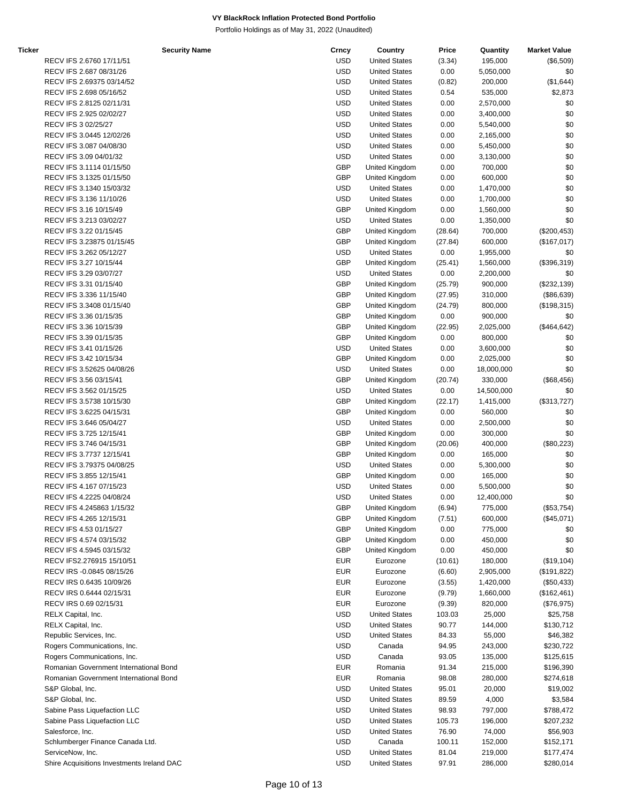| <b>Ticker</b> | <b>Security Name</b>                       | Crncy      | Country               | Price   | Quantity   | <b>Market Value</b> |
|---------------|--------------------------------------------|------------|-----------------------|---------|------------|---------------------|
|               | RECV IFS 2.6760 17/11/51                   | <b>USD</b> | <b>United States</b>  | (3.34)  | 195,000    | (\$6,509)           |
|               | RECV IFS 2.687 08/31/26                    | <b>USD</b> | <b>United States</b>  | 0.00    | 5,050,000  | \$0                 |
|               | RECV IFS 2.69375 03/14/52                  | <b>USD</b> | <b>United States</b>  | (0.82)  | 200,000    | (\$1,644)           |
|               | RECV IFS 2.698 05/16/52                    | <b>USD</b> | <b>United States</b>  | 0.54    | 535,000    | \$2,873             |
|               | RECV IFS 2.8125 02/11/31                   | <b>USD</b> | <b>United States</b>  | 0.00    | 2,570,000  | \$0                 |
|               | RECV IFS 2.925 02/02/27                    | <b>USD</b> | <b>United States</b>  | 0.00    | 3,400,000  | \$0                 |
|               | RECV IFS 3 02/25/27                        | <b>USD</b> | <b>United States</b>  | 0.00    | 5,540,000  | \$0                 |
|               | RECV IFS 3.0445 12/02/26                   | <b>USD</b> | <b>United States</b>  | 0.00    | 2,165,000  | \$0                 |
|               | RECV IFS 3.087 04/08/30                    | <b>USD</b> | <b>United States</b>  | 0.00    | 5,450,000  | \$0                 |
|               | RECV IFS 3.09 04/01/32                     | <b>USD</b> | <b>United States</b>  | 0.00    | 3,130,000  | \$0                 |
|               | RECV IFS 3.1114 01/15/50                   | <b>GBP</b> | United Kingdom        | 0.00    | 700,000    | \$0                 |
|               | RECV IFS 3.1325 01/15/50                   | <b>GBP</b> | United Kingdom        | 0.00    | 600,000    | \$0                 |
|               | RECV IFS 3.1340 15/03/32                   | <b>USD</b> | <b>United States</b>  | 0.00    | 1,470,000  | \$0                 |
|               | RECV IFS 3.136 11/10/26                    | <b>USD</b> | <b>United States</b>  | 0.00    | 1,700,000  | \$0                 |
|               | RECV IFS 3.16 10/15/49                     | <b>GBP</b> | United Kingdom        | 0.00    | 1,560,000  | \$0                 |
|               | RECV IFS 3.213 03/02/27                    | <b>USD</b> | <b>United States</b>  | 0.00    | 1,350,000  | \$0                 |
|               | RECV IFS 3.22 01/15/45                     | <b>GBP</b> | United Kingdom        | (28.64) | 700,000    | (\$200,453)         |
|               | RECV IFS 3.23875 01/15/45                  | GBP        | United Kingdom        | (27.84) | 600,000    | (\$167,017)         |
|               | RECV IFS 3.262 05/12/27                    | <b>USD</b> | <b>United States</b>  | 0.00    | 1,955,000  | \$0                 |
|               | RECV IFS 3.27 10/15/44                     | <b>GBP</b> | United Kingdom        | (25.41) | 1,560,000  | (\$396,319)         |
|               | RECV IFS 3.29 03/07/27                     | <b>USD</b> | <b>United States</b>  | 0.00    | 2,200,000  | \$0                 |
|               | RECV IFS 3.31 01/15/40                     | <b>GBP</b> | United Kingdom        | (25.79) | 900,000    | (\$232,139)         |
|               | RECV IFS 3.336 11/15/40                    | <b>GBP</b> | United Kingdom        | (27.95) | 310,000    | (\$86,639)          |
|               | RECV IFS 3.3408 01/15/40                   | <b>GBP</b> | United Kingdom        | (24.79) | 800,000    | (\$198,315)         |
|               | RECV IFS 3.36 01/15/35                     | GBP        | United Kingdom        | 0.00    | 900,000    | \$0                 |
|               | RECV IFS 3.36 10/15/39                     | GBP        | United Kingdom        | (22.95) | 2,025,000  | (\$464, 642)        |
|               | RECV IFS 3.39 01/15/35                     | <b>GBP</b> | United Kingdom        | 0.00    | 800,000    | \$0                 |
|               | RECV IFS 3.41 01/15/26                     | <b>USD</b> | <b>United States</b>  | 0.00    | 3,600,000  | \$0                 |
|               | RECV IFS 3.42 10/15/34                     | <b>GBP</b> | United Kingdom        | 0.00    | 2,025,000  | \$0                 |
|               | RECV IFS 3.52625 04/08/26                  | <b>USD</b> | <b>United States</b>  | 0.00    | 18,000,000 | \$0                 |
|               | RECV IFS 3.56 03/15/41                     | <b>GBP</b> | United Kingdom        | (20.74) | 330,000    | (\$68,456)          |
|               | RECV IFS 3.562 01/15/25                    | <b>USD</b> | <b>United States</b>  | 0.00    | 14,500,000 | \$0                 |
|               | RECV IFS 3.5738 10/15/30                   | <b>GBP</b> | United Kingdom        | (22.17) | 1,415,000  | (\$313,727)         |
|               | RECV IFS 3.6225 04/15/31                   | GBP        | United Kingdom        | 0.00    | 560,000    | \$0                 |
|               | RECV IFS 3.646 05/04/27                    | <b>USD</b> | <b>United States</b>  | 0.00    | 2,500,000  | \$0                 |
|               | RECV IFS 3.725 12/15/41                    | GBP        | United Kingdom        | 0.00    | 300,000    | \$0                 |
|               | RECV IFS 3.746 04/15/31                    | GBP        | United Kingdom        | (20.06) | 400,000    | (\$80,223)          |
|               | RECV IFS 3.7737 12/15/41                   | GBP        | United Kingdom        | 0.00    | 165,000    | \$0                 |
|               | RECV IFS 3.79375 04/08/25                  | <b>USD</b> | <b>United States</b>  | 0.00    | 5,300,000  | \$0                 |
|               | RECV IFS 3.855 12/15/41                    | <b>GBP</b> | United Kingdom        | 0.00    | 165,000    | \$0                 |
|               | RECV IFS 4.167 07/15/23                    | <b>USD</b> | <b>United States</b>  | 0.00    | 5,500,000  | \$0                 |
|               | RECV IFS 4.2225 04/08/24                   | <b>USD</b> | <b>United States</b>  | 0.00    | 12,400,000 | \$0                 |
|               | RECV IFS 4.245863 1/15/32                  | GBP        | United Kingdom        | (6.94)  | 775,000    | (\$53,754)          |
|               | RECV IFS 4.265 12/15/31                    | <b>GBP</b> | United Kingdom        | (7.51)  | 600,000    | (\$45,071)          |
|               | RECV IFS 4.53 01/15/27                     | <b>GBP</b> | United Kingdom        | 0.00    | 775,000    | \$0                 |
|               | RECV IFS 4.574 03/15/32                    | GBP        | <b>United Kingdom</b> | 0.00    | 450,000    | \$0                 |
|               | RECV IFS 4.5945 03/15/32                   | <b>GBP</b> | United Kingdom        | 0.00    | 450,000    | \$0                 |
|               | RECV IFS2.276915 15/10/51                  | <b>EUR</b> | Eurozone              | (10.61) | 180,000    | (\$19,104)          |
|               | RECV IRS -0.0845 08/15/26                  | <b>EUR</b> | Eurozone              | (6.60)  | 2,905,000  | (\$191,822)         |
|               | RECV IRS 0.6435 10/09/26                   | <b>EUR</b> | Eurozone              | (3.55)  | 1,420,000  | (\$50,433)          |
|               | RECV IRS 0.6444 02/15/31                   | <b>EUR</b> | Eurozone              | (9.79)  | 1,660,000  | (\$162,461)         |
|               | RECV IRS 0.69 02/15/31                     | <b>EUR</b> | Eurozone              | (9.39)  | 820,000    | (\$76,975)          |
|               | RELX Capital, Inc.                         | <b>USD</b> | <b>United States</b>  | 103.03  | 25,000     | \$25,758            |
|               | RELX Capital, Inc.                         | <b>USD</b> | <b>United States</b>  | 90.77   | 144,000    | \$130,712           |
|               | Republic Services, Inc.                    | <b>USD</b> | <b>United States</b>  | 84.33   | 55,000     | \$46,382            |
|               | Rogers Communications, Inc.                | <b>USD</b> | Canada                | 94.95   | 243,000    | \$230,722           |
|               | Rogers Communications, Inc.                | <b>USD</b> | Canada                | 93.05   | 135,000    | \$125,615           |
|               | Romanian Government International Bond     | <b>EUR</b> | Romania               | 91.34   | 215,000    | \$196,390           |
|               | Romanian Government International Bond     | <b>EUR</b> | Romania               | 98.08   | 280,000    | \$274,618           |
|               | S&P Global, Inc.                           | <b>USD</b> | <b>United States</b>  | 95.01   | 20,000     | \$19,002            |
|               | S&P Global, Inc.                           | <b>USD</b> | <b>United States</b>  | 89.59   | 4,000      | \$3,584             |
|               | Sabine Pass Liquefaction LLC               | <b>USD</b> | <b>United States</b>  | 98.93   | 797,000    | \$788,472           |
|               | Sabine Pass Liquefaction LLC               | <b>USD</b> | <b>United States</b>  | 105.73  | 196,000    | \$207,232           |
|               | Salesforce, Inc.                           | <b>USD</b> | <b>United States</b>  | 76.90   | 74,000     | \$56,903            |
|               | Schlumberger Finance Canada Ltd.           | <b>USD</b> | Canada                | 100.11  | 152,000    | \$152,171           |
|               | ServiceNow, Inc.                           | <b>USD</b> | <b>United States</b>  | 81.04   | 219,000    | \$177,474           |
|               | Shire Acquisitions Investments Ireland DAC | <b>USD</b> | <b>United States</b>  | 97.91   | 286,000    | \$280,014           |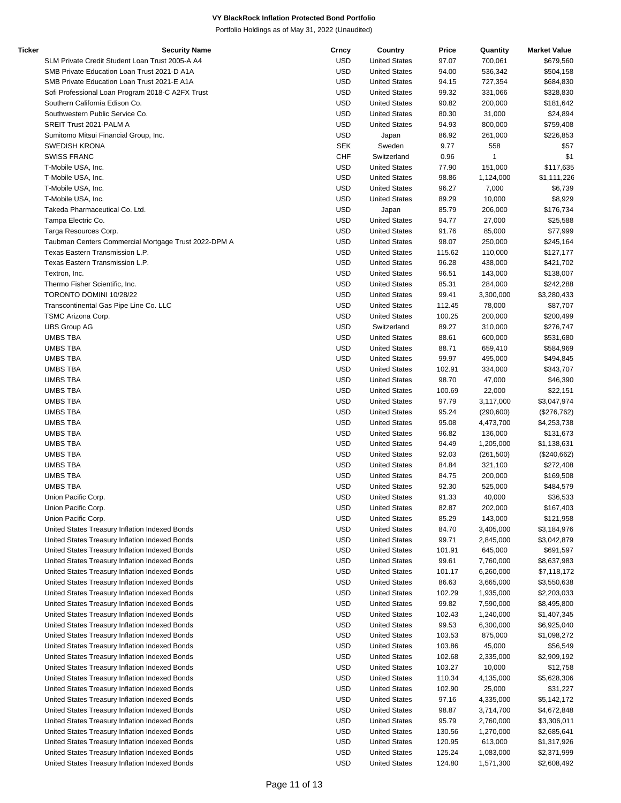| Ticker | <b>Security Name</b>                                 | Crncy      | Country              | Price  | Quantity   | <b>Market Value</b> |
|--------|------------------------------------------------------|------------|----------------------|--------|------------|---------------------|
|        | SLM Private Credit Student Loan Trust 2005-A A4      | <b>USD</b> | <b>United States</b> | 97.07  | 700,061    | \$679,560           |
|        | SMB Private Education Loan Trust 2021-D A1A          | <b>USD</b> | <b>United States</b> | 94.00  | 536,342    | \$504,158           |
|        | SMB Private Education Loan Trust 2021-E A1A          | <b>USD</b> | <b>United States</b> | 94.15  | 727,354    | \$684,830           |
|        | Sofi Professional Loan Program 2018-C A2FX Trust     | <b>USD</b> | <b>United States</b> | 99.32  | 331,066    | \$328,830           |
|        | Southern California Edison Co.                       | <b>USD</b> | <b>United States</b> | 90.82  | 200,000    | \$181,642           |
|        | Southwestern Public Service Co.                      | <b>USD</b> | <b>United States</b> | 80.30  | 31,000     | \$24,894            |
|        | SREIT Trust 2021-PALM A                              | <b>USD</b> | <b>United States</b> | 94.93  | 800,000    | \$759,408           |
|        | Sumitomo Mitsui Financial Group, Inc.                | <b>USD</b> | Japan                | 86.92  | 261,000    | \$226,853           |
|        | <b>SWEDISH KRONA</b>                                 | <b>SEK</b> | Sweden               | 9.77   | 558        | \$57                |
|        | <b>SWISS FRANC</b>                                   | <b>CHF</b> | Switzerland          | 0.96   | 1          | \$1                 |
|        | T-Mobile USA, Inc.                                   | <b>USD</b> | <b>United States</b> | 77.90  | 151,000    | \$117,635           |
|        |                                                      |            |                      |        |            |                     |
|        | T-Mobile USA, Inc.                                   | <b>USD</b> | <b>United States</b> | 98.86  | 1,124,000  | \$1,111,226         |
|        | T-Mobile USA, Inc.                                   | <b>USD</b> | <b>United States</b> | 96.27  | 7,000      | \$6,739             |
|        | T-Mobile USA, Inc.                                   | <b>USD</b> | <b>United States</b> | 89.29  | 10,000     | \$8,929             |
|        | Takeda Pharmaceutical Co. Ltd.                       | <b>USD</b> | Japan                | 85.79  | 206,000    | \$176,734           |
|        | Tampa Electric Co.                                   | <b>USD</b> | <b>United States</b> | 94.77  | 27,000     | \$25,588            |
|        | Targa Resources Corp.                                | <b>USD</b> | <b>United States</b> | 91.76  | 85,000     | \$77,999            |
|        | Taubman Centers Commercial Mortgage Trust 2022-DPM A | <b>USD</b> | <b>United States</b> | 98.07  | 250,000    | \$245,164           |
|        | Texas Eastern Transmission L.P.                      | <b>USD</b> | <b>United States</b> | 115.62 | 110,000    | \$127,177           |
|        | Texas Eastern Transmission L.P.                      | <b>USD</b> | <b>United States</b> | 96.28  | 438,000    | \$421,702           |
|        | Textron, Inc.                                        | <b>USD</b> | <b>United States</b> | 96.51  | 143,000    | \$138,007           |
|        | Thermo Fisher Scientific, Inc.                       | <b>USD</b> | <b>United States</b> | 85.31  | 284,000    | \$242,288           |
|        | TORONTO DOMINI 10/28/22                              | <b>USD</b> | <b>United States</b> | 99.41  | 3,300,000  | \$3,280,433         |
|        | Transcontinental Gas Pipe Line Co. LLC               | <b>USD</b> | <b>United States</b> | 112.45 | 78,000     | \$87,707            |
|        | TSMC Arizona Corp.                                   | <b>USD</b> | <b>United States</b> | 100.25 | 200,000    | \$200,499           |
|        | <b>UBS Group AG</b>                                  | <b>USD</b> | Switzerland          | 89.27  | 310,000    | \$276,747           |
|        | <b>UMBS TBA</b>                                      | <b>USD</b> | <b>United States</b> | 88.61  | 600,000    | \$531,680           |
|        |                                                      |            |                      |        |            |                     |
|        | <b>UMBS TBA</b>                                      | <b>USD</b> | <b>United States</b> | 88.71  | 659,410    | \$584,969           |
|        | UMBS TBA                                             | <b>USD</b> | <b>United States</b> | 99.97  | 495,000    | \$494,845           |
|        | UMBS TBA                                             | <b>USD</b> | <b>United States</b> | 102.91 | 334,000    | \$343,707           |
|        | <b>UMBS TBA</b>                                      | <b>USD</b> | <b>United States</b> | 98.70  | 47,000     | \$46,390            |
|        | <b>UMBS TBA</b>                                      | <b>USD</b> | <b>United States</b> | 100.69 | 22,000     | \$22,151            |
|        | <b>UMBS TBA</b>                                      | <b>USD</b> | <b>United States</b> | 97.79  | 3,117,000  | \$3,047,974         |
|        | UMBS TBA                                             | <b>USD</b> | <b>United States</b> | 95.24  | (290, 600) | (\$276,762)         |
|        | <b>UMBS TBA</b>                                      | <b>USD</b> | <b>United States</b> | 95.08  | 4,473,700  | \$4,253,738         |
|        | UMBS TBA                                             | <b>USD</b> | <b>United States</b> | 96.82  | 136,000    | \$131,673           |
|        | UMBS TBA                                             | <b>USD</b> | <b>United States</b> | 94.49  | 1,205,000  | \$1,138,631         |
|        | UMBS TBA                                             | <b>USD</b> | <b>United States</b> | 92.03  | (261, 500) | (\$240,662)         |
|        | <b>UMBS TBA</b>                                      | <b>USD</b> | <b>United States</b> | 84.84  | 321,100    | \$272,408           |
|        | <b>UMBS TBA</b>                                      | <b>USD</b> | <b>United States</b> | 84.75  | 200,000    | \$169,508           |
|        | <b>UMBS TBA</b>                                      | <b>USD</b> | <b>United States</b> | 92.30  | 525,000    | \$484,579           |
|        | Union Pacific Corp.                                  | <b>USD</b> | <b>United States</b> | 91.33  | 40,000     | \$36,533            |
|        | Union Pacific Corp.                                  | USD        | <b>United States</b> | 82.87  | 202,000    | \$167,403           |
|        | Union Pacific Corp.                                  | <b>USD</b> | <b>United States</b> | 85.29  | 143,000    | \$121,958           |
|        | United States Treasury Inflation Indexed Bonds       | <b>USD</b> | <b>United States</b> |        | 3,405,000  |                     |
|        |                                                      |            |                      | 84.70  |            | \$3,184,976         |
|        | United States Treasury Inflation Indexed Bonds       | USD        | <b>United States</b> | 99.71  | 2,845,000  | \$3,042,879         |
|        | United States Treasury Inflation Indexed Bonds       | <b>USD</b> | <b>United States</b> | 101.91 | 645,000    | \$691,597           |
|        | United States Treasury Inflation Indexed Bonds       | <b>USD</b> | <b>United States</b> | 99.61  | 7,760,000  | \$8,637,983         |
|        | United States Treasury Inflation Indexed Bonds       | <b>USD</b> | <b>United States</b> | 101.17 | 6,260,000  | \$7,118,172         |
|        | United States Treasury Inflation Indexed Bonds       | <b>USD</b> | <b>United States</b> | 86.63  | 3,665,000  | \$3,550,638         |
|        | United States Treasury Inflation Indexed Bonds       | <b>USD</b> | <b>United States</b> | 102.29 | 1,935,000  | \$2,203,033         |
|        | United States Treasury Inflation Indexed Bonds       | <b>USD</b> | <b>United States</b> | 99.82  | 7,590,000  | \$8,495,800         |
|        | United States Treasury Inflation Indexed Bonds       | <b>USD</b> | <b>United States</b> | 102.43 | 1,240,000  | \$1,407,345         |
|        | United States Treasury Inflation Indexed Bonds       | USD        | <b>United States</b> | 99.53  | 6,300,000  | \$6,925,040         |
|        | United States Treasury Inflation Indexed Bonds       | <b>USD</b> | <b>United States</b> | 103.53 | 875,000    | \$1,098,272         |
|        | United States Treasury Inflation Indexed Bonds       | <b>USD</b> | <b>United States</b> | 103.86 | 45,000     | \$56,549            |
|        | United States Treasury Inflation Indexed Bonds       | <b>USD</b> | <b>United States</b> | 102.68 | 2,335,000  | \$2,909,192         |
|        | United States Treasury Inflation Indexed Bonds       | <b>USD</b> | <b>United States</b> | 103.27 | 10,000     | \$12,758            |
|        |                                                      | <b>USD</b> | <b>United States</b> |        |            |                     |
|        | United States Treasury Inflation Indexed Bonds       |            |                      | 110.34 | 4,135,000  | \$5,628,306         |
|        | United States Treasury Inflation Indexed Bonds       | <b>USD</b> | <b>United States</b> | 102.90 | 25,000     | \$31,227            |
|        | United States Treasury Inflation Indexed Bonds       | <b>USD</b> | <b>United States</b> | 97.16  | 4,335,000  | \$5,142,172         |
|        | United States Treasury Inflation Indexed Bonds       | USD        | <b>United States</b> | 98.87  | 3,714,700  | \$4,672,848         |
|        | United States Treasury Inflation Indexed Bonds       | <b>USD</b> | <b>United States</b> | 95.79  | 2,760,000  | \$3,306,011         |
|        | United States Treasury Inflation Indexed Bonds       | <b>USD</b> | <b>United States</b> | 130.56 | 1,270,000  | \$2,685,641         |
|        | United States Treasury Inflation Indexed Bonds       | <b>USD</b> | <b>United States</b> | 120.95 | 613,000    | \$1,317,926         |
|        | United States Treasury Inflation Indexed Bonds       | <b>USD</b> | <b>United States</b> | 125.24 | 1,083,000  | \$2,371,999         |
|        | United States Treasury Inflation Indexed Bonds       | <b>USD</b> | <b>United States</b> | 124.80 | 1,571,300  | \$2,608,492         |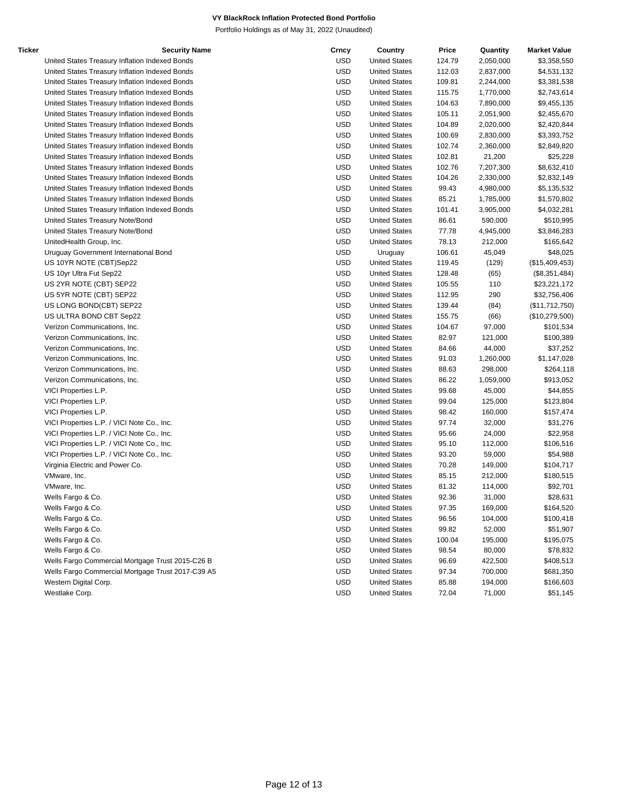| Ticker | <b>Security Name</b>                              | Crncy      | Country              | Price  | Quantity  | <b>Market Value</b> |
|--------|---------------------------------------------------|------------|----------------------|--------|-----------|---------------------|
|        | United States Treasury Inflation Indexed Bonds    | <b>USD</b> | <b>United States</b> | 124.79 | 2,050,000 | \$3,358,550         |
|        | United States Treasury Inflation Indexed Bonds    | <b>USD</b> | <b>United States</b> | 112.03 | 2,837,000 | \$4,531,132         |
|        | United States Treasury Inflation Indexed Bonds    | <b>USD</b> | <b>United States</b> | 109.81 | 2,244,000 | \$3,381,538         |
|        | United States Treasury Inflation Indexed Bonds    | <b>USD</b> | <b>United States</b> | 115.75 | 1,770,000 | \$2,743,614         |
|        | United States Treasury Inflation Indexed Bonds    | <b>USD</b> | <b>United States</b> | 104.63 | 7,890,000 | \$9,455,135         |
|        | United States Treasury Inflation Indexed Bonds    | <b>USD</b> | <b>United States</b> | 105.11 | 2,051,900 | \$2,455,670         |
|        | United States Treasury Inflation Indexed Bonds    | <b>USD</b> | <b>United States</b> | 104.89 | 2,020,000 | \$2,420,844         |
|        | United States Treasury Inflation Indexed Bonds    | <b>USD</b> | <b>United States</b> | 100.69 | 2,830,000 | \$3,393,752         |
|        | United States Treasury Inflation Indexed Bonds    | <b>USD</b> | <b>United States</b> | 102.74 | 2,360,000 | \$2,849,820         |
|        | United States Treasury Inflation Indexed Bonds    | <b>USD</b> | <b>United States</b> | 102.81 | 21,200    | \$25,228            |
|        | United States Treasury Inflation Indexed Bonds    | <b>USD</b> | <b>United States</b> | 102.76 | 7,207,300 | \$8,632,410         |
|        | United States Treasury Inflation Indexed Bonds    | <b>USD</b> | <b>United States</b> | 104.26 | 2,330,000 | \$2,832,149         |
|        | United States Treasury Inflation Indexed Bonds    | <b>USD</b> | <b>United States</b> | 99.43  | 4,980,000 | \$5,135,532         |
|        | United States Treasury Inflation Indexed Bonds    | <b>USD</b> | <b>United States</b> | 85.21  | 1,785,000 | \$1,570,802         |
|        | United States Treasury Inflation Indexed Bonds    | <b>USD</b> | <b>United States</b> | 101.41 | 3,905,000 | \$4,032,281         |
|        | United States Treasury Note/Bond                  | <b>USD</b> | <b>United States</b> | 86.61  | 590,000   | \$510,995           |
|        | United States Treasury Note/Bond                  | <b>USD</b> | <b>United States</b> | 77.78  | 4,945,000 | \$3,846,283         |
|        | UnitedHealth Group, Inc.                          | <b>USD</b> | <b>United States</b> | 78.13  | 212,000   | \$165,642           |
|        | Uruguay Government International Bond             | <b>USD</b> | Uruguay              | 106.61 | 45,049    | \$48,025            |
|        | US 10YR NOTE (CBT)Sep22                           | <b>USD</b> | <b>United States</b> | 119.45 | (129)     | (\$15,409,453)      |
|        | US 10yr Ultra Fut Sep22                           | <b>USD</b> | <b>United States</b> | 128.48 | (65)      | (\$8,351,484)       |
|        | US 2YR NOTE (CBT) SEP22                           | <b>USD</b> | <b>United States</b> | 105.55 | 110       | \$23,221,172        |
|        | US 5YR NOTE (CBT) SEP22                           | <b>USD</b> | <b>United States</b> | 112.95 | 290       | \$32,756,406        |
|        | US LONG BOND(CBT) SEP22                           | <b>USD</b> | <b>United States</b> | 139.44 | (84)      | (\$11,712,750)      |
|        | US ULTRA BOND CBT Sep22                           | <b>USD</b> | <b>United States</b> | 155.75 | (66)      | (\$10,279,500)      |
|        | Verizon Communications, Inc.                      | <b>USD</b> | <b>United States</b> | 104.67 | 97,000    | \$101,534           |
|        | Verizon Communications, Inc.                      | <b>USD</b> | <b>United States</b> | 82.97  | 121,000   | \$100,389           |
|        | Verizon Communications, Inc.                      | <b>USD</b> | <b>United States</b> | 84.66  | 44,000    | \$37,252            |
|        | Verizon Communications, Inc.                      | <b>USD</b> | <b>United States</b> | 91.03  | 1,260,000 | \$1,147,028         |
|        | Verizon Communications, Inc.                      | <b>USD</b> | <b>United States</b> | 88.63  | 298,000   | \$264,118           |
|        | Verizon Communications, Inc.                      | <b>USD</b> | <b>United States</b> | 86.22  | 1,059,000 | \$913,052           |
|        | VICI Properties L.P.                              | <b>USD</b> | <b>United States</b> | 99.68  | 45,000    | \$44,855            |
|        | VICI Properties L.P.                              | <b>USD</b> | <b>United States</b> | 99.04  | 125,000   | \$123,804           |
|        | VICI Properties L.P.                              | <b>USD</b> | <b>United States</b> | 98.42  | 160,000   | \$157,474           |
|        | VICI Properties L.P. / VICI Note Co., Inc.        | <b>USD</b> | <b>United States</b> | 97.74  | 32,000    | \$31,276            |
|        | VICI Properties L.P. / VICI Note Co., Inc.        | <b>USD</b> | <b>United States</b> | 95.66  | 24,000    | \$22,958            |
|        | VICI Properties L.P. / VICI Note Co., Inc.        | <b>USD</b> | <b>United States</b> | 95.10  | 112,000   | \$106,516           |
|        | VICI Properties L.P. / VICI Note Co., Inc.        | <b>USD</b> | <b>United States</b> | 93.20  | 59,000    | \$54,988            |
|        | Virginia Electric and Power Co.                   | <b>USD</b> | <b>United States</b> | 70.28  | 149,000   | \$104,717           |
|        | VMware, Inc.                                      | <b>USD</b> | <b>United States</b> | 85.15  | 212,000   | \$180,515           |
|        | VMware, Inc.                                      | <b>USD</b> | <b>United States</b> | 81.32  | 114,000   | \$92,701            |
|        | Wells Fargo & Co.                                 | USD        | <b>United States</b> | 92.36  | 31,000    | \$28,631            |
|        | Wells Fargo & Co.                                 | <b>USD</b> | <b>United States</b> | 97.35  | 169,000   | \$164,520           |
|        | Wells Fargo & Co.                                 | <b>USD</b> | <b>United States</b> | 96.56  | 104,000   | \$100,418           |
|        | Wells Fargo & Co.                                 | <b>USD</b> | <b>United States</b> | 99.82  | 52,000    | \$51,907            |
|        | Wells Fargo & Co.                                 | <b>USD</b> | <b>United States</b> | 100.04 | 195,000   | \$195,075           |
|        | Wells Fargo & Co.                                 | <b>USD</b> | <b>United States</b> | 98.54  | 80,000    | \$78,832            |
|        | Wells Fargo Commercial Mortgage Trust 2015-C26 B  | <b>USD</b> | <b>United States</b> | 96.69  | 422,500   | \$408,513           |
|        | Wells Fargo Commercial Mortgage Trust 2017-C39 A5 | <b>USD</b> | <b>United States</b> | 97.34  | 700,000   | \$681,350           |
|        | Western Digital Corp.                             | <b>USD</b> | <b>United States</b> | 85.88  | 194,000   | \$166,603           |
|        | Westlake Corp.                                    | <b>USD</b> | <b>United States</b> | 72.04  | 71,000    | \$51,145            |
|        |                                                   |            |                      |        |           |                     |